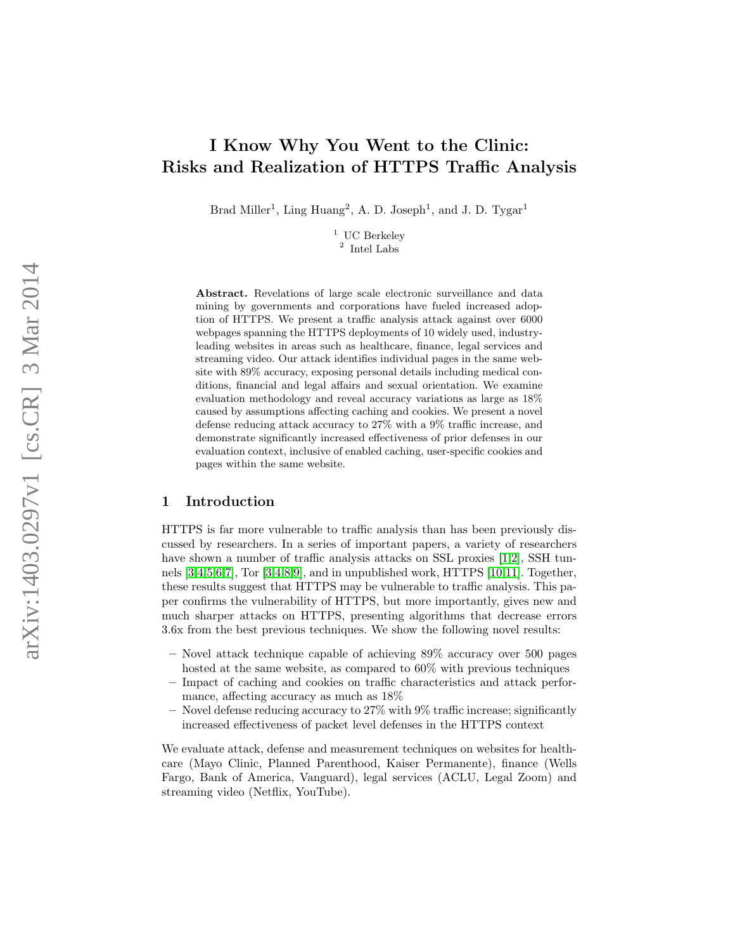# <span id="page-0-0"></span>I Know Why You Went to the Clinic: Risks and Realization of HTTPS Traffic Analysis

Brad Miller<sup>1</sup>, Ling Huang<sup>2</sup>, A. D. Joseph<sup>1</sup>, and J. D. Tygar<sup>1</sup>

 $\footnotesize{1\over 2}$  UC Berkeley 2 Intel Labs

Abstract. Revelations of large scale electronic surveillance and data mining by governments and corporations have fueled increased adoption of HTTPS. We present a traffic analysis attack against over 6000 webpages spanning the HTTPS deployments of 10 widely used, industryleading websites in areas such as healthcare, finance, legal services and streaming video. Our attack identifies individual pages in the same website with 89% accuracy, exposing personal details including medical conditions, financial and legal affairs and sexual orientation. We examine evaluation methodology and reveal accuracy variations as large as 18% caused by assumptions affecting caching and cookies. We present a novel defense reducing attack accuracy to 27% with a 9% traffic increase, and demonstrate significantly increased effectiveness of prior defenses in our evaluation context, inclusive of enabled caching, user-specific cookies and pages within the same website.

## 1 Introduction

HTTPS is far more vulnerable to traffic analysis than has been previously discussed by researchers. In a series of important papers, a variety of researchers have shown a number of traffic analysis attacks on SSL proxies [\[1](#page-24-0)[,2\]](#page-24-1), SSH tunnels  $[3,4,5,6,7]$  $[3,4,5,6,7]$  $[3,4,5,6,7]$  $[3,4,5,6,7]$  $[3,4,5,6,7]$ , Tor  $[3,4,8,9]$  $[3,4,8,9]$  $[3,4,8,9]$  $[3,4,8,9]$ , and in unpublished work, HTTPS  $[10,11]$  $[10,11]$ . Together, these results suggest that HTTPS may be vulnerable to traffic analysis. This paper confirms the vulnerability of HTTPS, but more importantly, gives new and much sharper attacks on HTTPS, presenting algorithms that decrease errors 3.6x from the best previous techniques. We show the following novel results:

- Novel attack technique capable of achieving 89% accuracy over 500 pages hosted at the same website, as compared to 60% with previous techniques
- Impact of caching and cookies on traffic characteristics and attack performance, affecting accuracy as much as 18%
- Novel defense reducing accuracy to 27% with 9% traffic increase; significantly increased effectiveness of packet level defenses in the HTTPS context

We evaluate attack, defense and measurement techniques on websites for healthcare (Mayo Clinic, Planned Parenthood, Kaiser Permanente), finance (Wells Fargo, Bank of America, Vanguard), legal services (ACLU, Legal Zoom) and streaming video (Netflix, YouTube).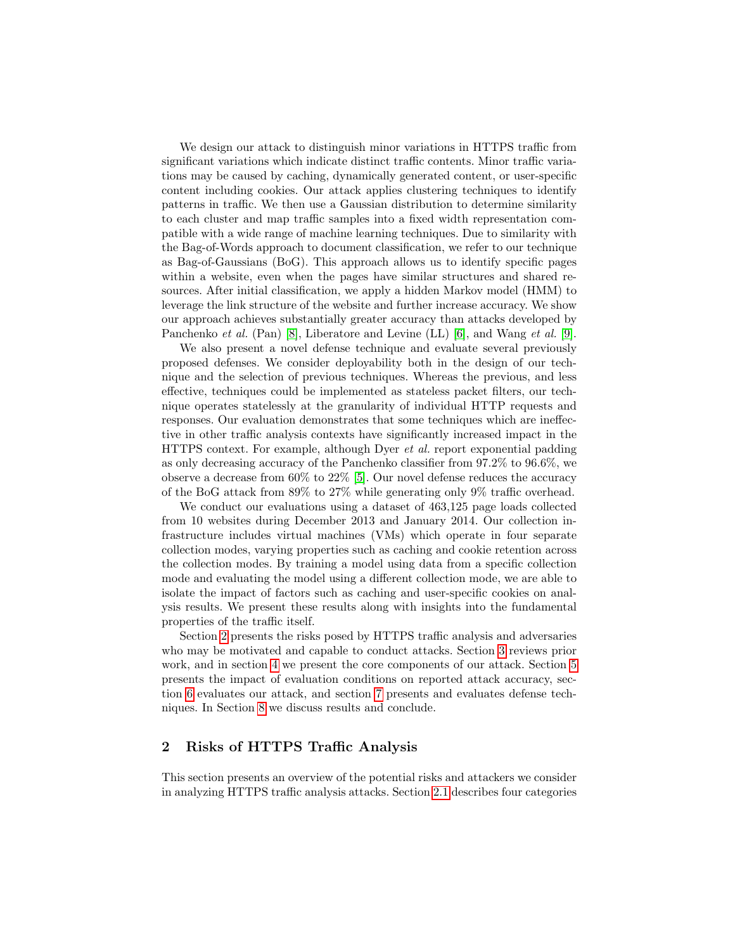We design our attack to distinguish minor variations in HTTPS traffic from significant variations which indicate distinct traffic contents. Minor traffic variations may be caused by caching, dynamically generated content, or user-specific content including cookies. Our attack applies clustering techniques to identify patterns in traffic. We then use a Gaussian distribution to determine similarity to each cluster and map traffic samples into a fixed width representation compatible with a wide range of machine learning techniques. Due to similarity with the Bag-of-Words approach to document classification, we refer to our technique as Bag-of-Gaussians (BoG). This approach allows us to identify specific pages within a website, even when the pages have similar structures and shared resources. After initial classification, we apply a hidden Markov model (HMM) to leverage the link structure of the website and further increase accuracy. We show our approach achieves substantially greater accuracy than attacks developed by Panchenko et al. (Pan) [\[8\]](#page-24-7), Liberatore and Levine (LL) [\[6\]](#page-24-5), and Wang et al. [\[9\]](#page-24-8).

We also present a novel defense technique and evaluate several previously proposed defenses. We consider deployability both in the design of our technique and the selection of previous techniques. Whereas the previous, and less effective, techniques could be implemented as stateless packet filters, our technique operates statelessly at the granularity of individual HTTP requests and responses. Our evaluation demonstrates that some techniques which are ineffective in other traffic analysis contexts have significantly increased impact in the HTTPS context. For example, although Dyer et al. report exponential padding as only decreasing accuracy of the Panchenko classifier from 97.2% to 96.6%, we observe a decrease from  $60\%$  to  $22\%$  [\[5\]](#page-24-4). Our novel defense reduces the accuracy of the BoG attack from 89% to 27% while generating only 9% traffic overhead.

We conduct our evaluations using a dataset of 463,125 page loads collected from 10 websites during December 2013 and January 2014. Our collection infrastructure includes virtual machines (VMs) which operate in four separate collection modes, varying properties such as caching and cookie retention across the collection modes. By training a model using data from a specific collection mode and evaluating the model using a different collection mode, we are able to isolate the impact of factors such as caching and user-specific cookies on analysis results. We present these results along with insights into the fundamental properties of the traffic itself.

Section [2](#page-1-0) presents the risks posed by HTTPS traffic analysis and adversaries who may be motivated and capable to conduct attacks. Section [3](#page-4-0) reviews prior work, and in section [4](#page-6-0) we present the core components of our attack. Section [5](#page-13-0) presents the impact of evaluation conditions on reported attack accuracy, section [6](#page-18-0) evaluates our attack, and section [7](#page-21-0) presents and evaluates defense techniques. In Section [8](#page-23-0) we discuss results and conclude.

# <span id="page-1-0"></span>2 Risks of HTTPS Traffic Analysis

This section presents an overview of the potential risks and attackers we consider in analyzing HTTPS traffic analysis attacks. Section [2.1](#page-2-0) describes four categories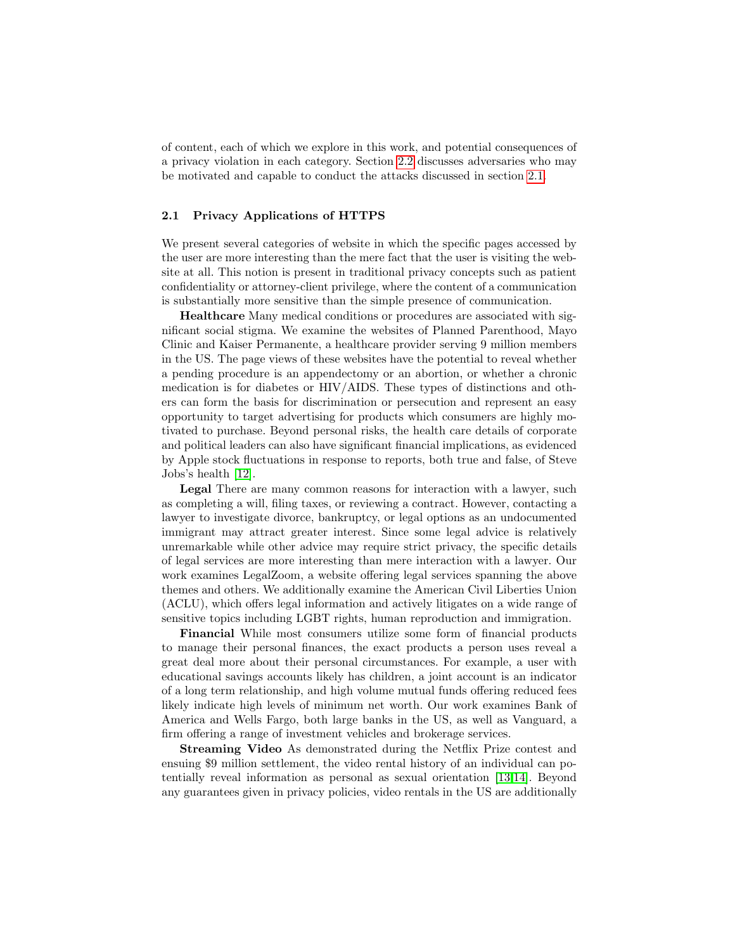of content, each of which we explore in this work, and potential consequences of a privacy violation in each category. Section [2.2](#page-3-0) discusses adversaries who may be motivated and capable to conduct the attacks discussed in section [2.1.](#page-2-0)

#### <span id="page-2-0"></span>2.1 Privacy Applications of HTTPS

We present several categories of website in which the specific pages accessed by the user are more interesting than the mere fact that the user is visiting the website at all. This notion is present in traditional privacy concepts such as patient confidentiality or attorney-client privilege, where the content of a communication is substantially more sensitive than the simple presence of communication.

Healthcare Many medical conditions or procedures are associated with significant social stigma. We examine the websites of Planned Parenthood, Mayo Clinic and Kaiser Permanente, a healthcare provider serving 9 million members in the US. The page views of these websites have the potential to reveal whether a pending procedure is an appendectomy or an abortion, or whether a chronic medication is for diabetes or HIV/AIDS. These types of distinctions and others can form the basis for discrimination or persecution and represent an easy opportunity to target advertising for products which consumers are highly motivated to purchase. Beyond personal risks, the health care details of corporate and political leaders can also have significant financial implications, as evidenced by Apple stock fluctuations in response to reports, both true and false, of Steve Jobs's health [\[12\]](#page-24-11).

Legal There are many common reasons for interaction with a lawyer, such as completing a will, filing taxes, or reviewing a contract. However, contacting a lawyer to investigate divorce, bankruptcy, or legal options as an undocumented immigrant may attract greater interest. Since some legal advice is relatively unremarkable while other advice may require strict privacy, the specific details of legal services are more interesting than mere interaction with a lawyer. Our work examines LegalZoom, a website offering legal services spanning the above themes and others. We additionally examine the American Civil Liberties Union (ACLU), which offers legal information and actively litigates on a wide range of sensitive topics including LGBT rights, human reproduction and immigration.

Financial While most consumers utilize some form of financial products to manage their personal finances, the exact products a person uses reveal a great deal more about their personal circumstances. For example, a user with educational savings accounts likely has children, a joint account is an indicator of a long term relationship, and high volume mutual funds offering reduced fees likely indicate high levels of minimum net worth. Our work examines Bank of America and Wells Fargo, both large banks in the US, as well as Vanguard, a firm offering a range of investment vehicles and brokerage services.

Streaming Video As demonstrated during the Netflix Prize contest and ensuing \$9 million settlement, the video rental history of an individual can potentially reveal information as personal as sexual orientation [\[13,](#page-25-0)[14\]](#page-25-1). Beyond any guarantees given in privacy policies, video rentals in the US are additionally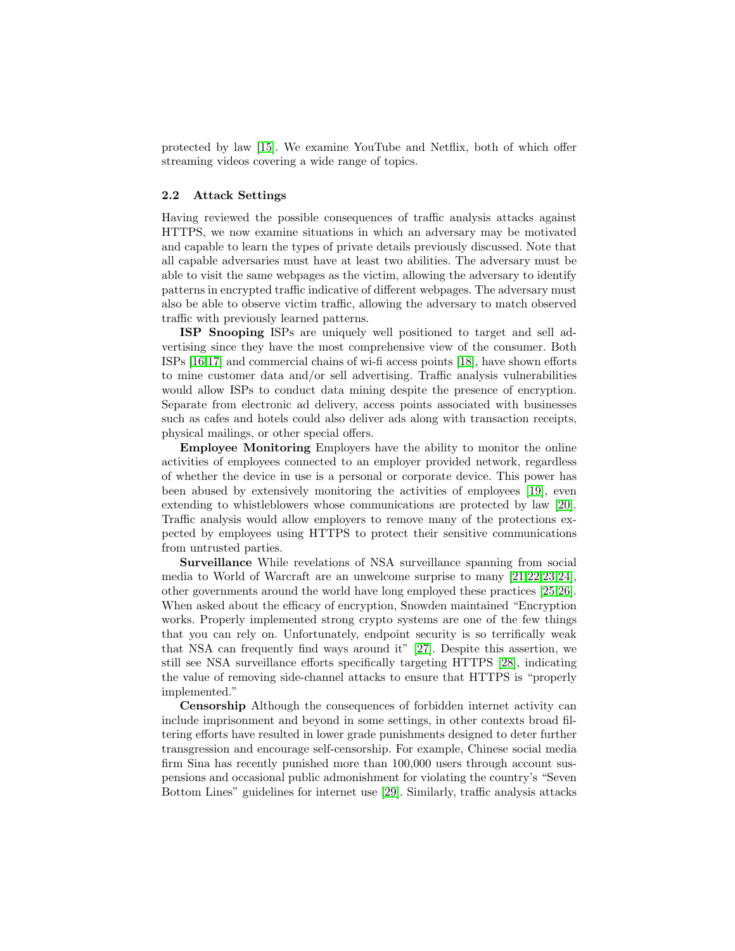protected by law [\[15\]](#page-25-2). We examine YouTube and Netflix, both of which offer streaming videos covering a wide range of topics.

#### <span id="page-3-0"></span>2.2 Attack Settings

Having reviewed the possible consequences of traffic analysis attacks against HTTPS, we now examine situations in which an adversary may be motivated and capable to learn the types of private details previously discussed. Note that all capable adversaries must have at least two abilities. The adversary must be able to visit the same webpages as the victim, allowing the adversary to identify patterns in encrypted traffic indicative of different webpages. The adversary must also be able to observe victim traffic, allowing the adversary to match observed traffic with previously learned patterns.

ISP Snooping ISPs are uniquely well positioned to target and sell advertising since they have the most comprehensive view of the consumer. Both ISPs [\[16](#page-25-3)[,17\]](#page-25-4) and commercial chains of wi-fi access points [\[18\]](#page-25-5), have shown efforts to mine customer data and/or sell advertising. Traffic analysis vulnerabilities would allow ISPs to conduct data mining despite the presence of encryption. Separate from electronic ad delivery, access points associated with businesses such as cafes and hotels could also deliver ads along with transaction receipts, physical mailings, or other special offers.

Employee Monitoring Employers have the ability to monitor the online activities of employees connected to an employer provided network, regardless of whether the device in use is a personal or corporate device. This power has been abused by extensively monitoring the activities of employees [\[19\]](#page-25-6), even extending to whistleblowers whose communications are protected by law [\[20\]](#page-25-7). Traffic analysis would allow employers to remove many of the protections expected by employees using HTTPS to protect their sensitive communications from untrusted parties.

Surveillance While revelations of NSA surveillance spanning from social media to World of Warcraft are an unwelcome surprise to many [\[21,](#page-25-8)[22,](#page-25-9)[23,](#page-25-10)[24\]](#page-25-11), other governments around the world have long employed these practices [\[25,](#page-25-12)[26\]](#page-25-13). When asked about the efficacy of encryption, Snowden maintained "Encryption works. Properly implemented strong crypto systems are one of the few things that you can rely on. Unfortunately, endpoint security is so terrifically weak that NSA can frequently find ways around it" [\[27\]](#page-25-14). Despite this assertion, we still see NSA surveillance efforts specifically targeting HTTPS [\[28\]](#page-25-15), indicating the value of removing side-channel attacks to ensure that HTTPS is "properly implemented."

Censorship Although the consequences of forbidden internet activity can include imprisonment and beyond in some settings, in other contexts broad filtering efforts have resulted in lower grade punishments designed to deter further transgression and encourage self-censorship. For example, Chinese social media firm Sina has recently punished more than 100,000 users through account suspensions and occasional public admonishment for violating the country's "Seven Bottom Lines" guidelines for internet use [\[29\]](#page-25-16). Similarly, traffic analysis attacks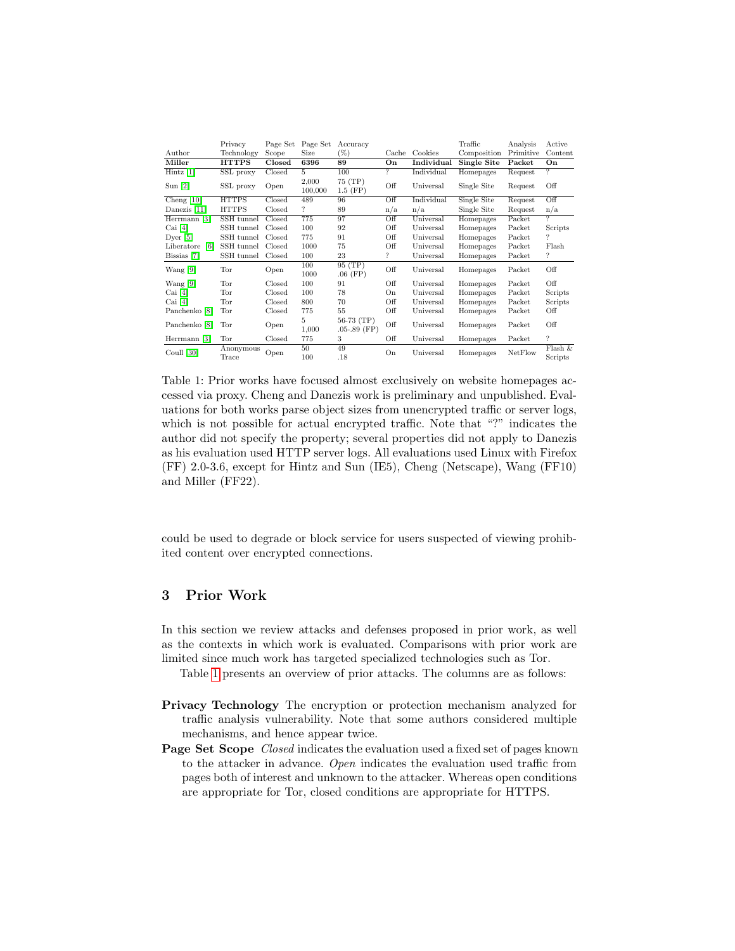<span id="page-4-1"></span>

|                                 | Privacy            | Page Set | Page Set         | Accuracy                       |       |            | Traffic     | Analysis       | Active                   |  |
|---------------------------------|--------------------|----------|------------------|--------------------------------|-------|------------|-------------|----------------|--------------------------|--|
| Author                          | Technology         | Scope    | Size             | $(\%)$                         | Cache | Cookies    | Composition | Primitive      | Content                  |  |
| Miller                          | <b>HTTPS</b>       | Closed   | 6396             | 89                             | On    | Individual | Single Site | Packet         | On                       |  |
| $Hintz$ [1]                     | SSL proxy          | Closed   | 5.               | 100                            | ?     | Individual | Homepages   | Request        | $\overline{?}$           |  |
| $\text{Sun}$ [2]                | SSL proxy          | Open     | 2,000<br>100,000 | 75 (TP)<br>$1.5$ (FP)          | Off   | Universal  | Single Site | Request        | Off                      |  |
| Cheng $[10]$                    | <b>HTTPS</b>       | Closed   | 489              | 96                             | Off   | Individual | Single Site | Request        | Off                      |  |
| Danezis [11]                    | <b>HTTPS</b>       | Closed   | ?                | 89                             | n/a   | n/a        | Single Site | Request        | n/a                      |  |
| Herrmann [3]                    | SSH tunnel         | Closed   | 775              | 97                             | Off   | Universal  | Homepages   | Packet         | $\overline{?}$           |  |
| Cai $[4]$                       | SSH tunnel         | Closed   | 100              | 92                             | Off   | Universal  | Homepages   | Packet         | Scripts                  |  |
| $Dyer$ [5]                      | SSH tunnel         | Closed   | 775              | 91                             | Off   | Universal  | Homepages   | Packet         | ?                        |  |
| Liberatore<br>$\lceil 6 \rceil$ | SSH tunnel         | Closed   | 1000             | 75                             | Off   | Universal  | Homepages   | Packet         | Flash                    |  |
| Bissias [7]                     | SSH tunnel         | Closed   | 100              | 23                             | ?     | Universal  | Homepages   | Packet         | ?                        |  |
| Wang $[9]$                      | Tor                | Open     | 100<br>1000      | 95 (TP)<br>$.06$ (FP)          | Off   | Universal  | Homepages   | Packet         | Off                      |  |
| Wang $[9]$                      | Tor                | Closed   | 100              | 91                             | Off   | Universal  | Homepages   | Packet         | Off                      |  |
| Cai [4]                         | Tor                | Closed   | 100              | 78                             | On    | Universal  | Homepages   | Packet         | Scripts                  |  |
| $\operatorname{Cai}$ [4]        | Tor                | Closed   | 800              | 70                             | Off   | Universal  | Homepages   | Packet         | Scripts                  |  |
| Panchenko [8]                   | Tor                | Closed   | 775              | 55                             | Off   | Universal  | Homepages   | Packet         | Off                      |  |
| Panchenko [8]                   | Tor                | Open     | 5<br>1,000       | 56-73 (TP)<br>$.05 - .89$ (FP) | Off   | Universal  | Homepages   | Packet         | Off                      |  |
| Herrmann [3]                    | Tor                | Closed   | 775              | 3                              | Off   | Universal  | Homepages   | Packet         | $\overline{\phantom{a}}$ |  |
| Coull [30]                      | Anonymous<br>Trace | Open     | 50<br>100        | 49<br>.18                      | On    | Universal  | Homepages   | <b>NetFlow</b> | Flash $\&$<br>Scripts    |  |

Table 1: Prior works have focused almost exclusively on website homepages accessed via proxy. Cheng and Danezis work is preliminary and unpublished. Evaluations for both works parse object sizes from unencrypted traffic or server logs, which is not possible for actual encrypted traffic. Note that "?" indicates the author did not specify the property; several properties did not apply to Danezis as his evaluation used HTTP server logs. All evaluations used Linux with Firefox (FF) 2.0-3.6, except for Hintz and Sun (IE5), Cheng (Netscape), Wang (FF10) and Miller (FF22).

could be used to degrade or block service for users suspected of viewing prohibited content over encrypted connections.

# <span id="page-4-0"></span>3 Prior Work

In this section we review attacks and defenses proposed in prior work, as well as the contexts in which work is evaluated. Comparisons with prior work are limited since much work has targeted specialized technologies such as Tor.

Table [1](#page-4-1) presents an overview of prior attacks. The columns are as follows:

- Privacy Technology The encryption or protection mechanism analyzed for traffic analysis vulnerability. Note that some authors considered multiple mechanisms, and hence appear twice.
- Page Set Scope Closed indicates the evaluation used a fixed set of pages known to the attacker in advance. Open indicates the evaluation used traffic from pages both of interest and unknown to the attacker. Whereas open conditions are appropriate for Tor, closed conditions are appropriate for HTTPS.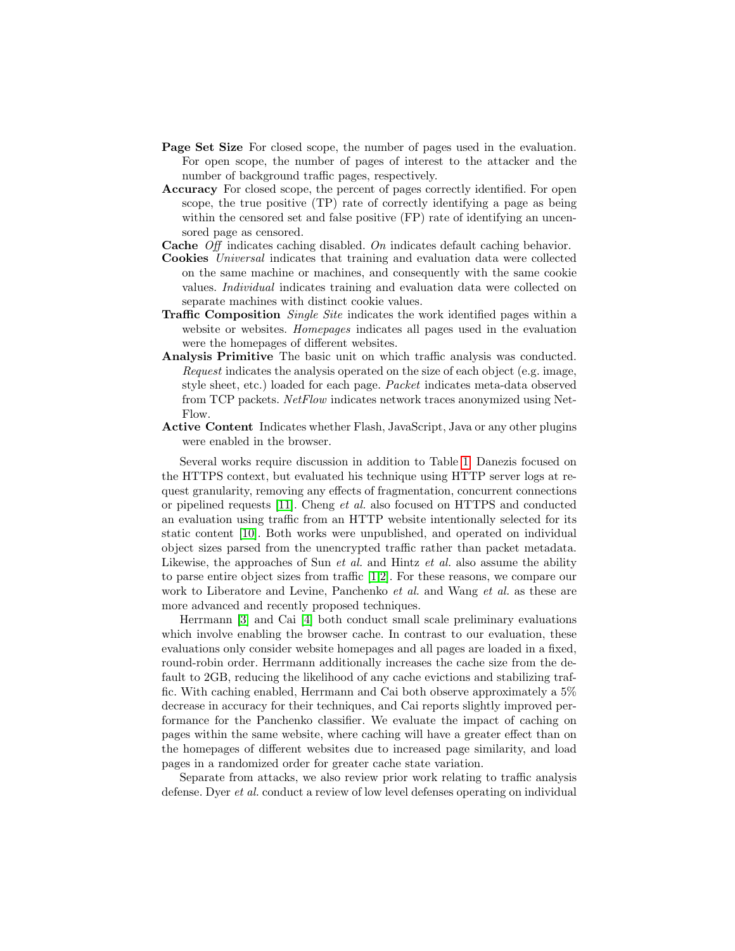- Page Set Size For closed scope, the number of pages used in the evaluation. For open scope, the number of pages of interest to the attacker and the number of background traffic pages, respectively.
- Accuracy For closed scope, the percent of pages correctly identified. For open scope, the true positive (TP) rate of correctly identifying a page as being within the censored set and false positive  $(FP)$  rate of identifying an uncensored page as censored.
- Cache *Off* indicates caching disabled. On indicates default caching behavior.
- Cookies Universal indicates that training and evaluation data were collected on the same machine or machines, and consequently with the same cookie values. Individual indicates training and evaluation data were collected on separate machines with distinct cookie values.
- Traffic Composition Single Site indicates the work identified pages within a website or websites. *Homepages* indicates all pages used in the evaluation were the homepages of different websites.
- Analysis Primitive The basic unit on which traffic analysis was conducted. Request indicates the analysis operated on the size of each object (e.g. image, style sheet, etc.) loaded for each page. Packet indicates meta-data observed from TCP packets. NetFlow indicates network traces anonymized using Net-Flow.
- Active Content Indicates whether Flash, JavaScript, Java or any other plugins were enabled in the browser.

Several works require discussion in addition to Table [1.](#page-4-1) Danezis focused on the HTTPS context, but evaluated his technique using HTTP server logs at request granularity, removing any effects of fragmentation, concurrent connections or pipelined requests [\[11\]](#page-24-10). Cheng et al. also focused on HTTPS and conducted an evaluation using traffic from an HTTP website intentionally selected for its static content [\[10\]](#page-24-9). Both works were unpublished, and operated on individual object sizes parsed from the unencrypted traffic rather than packet metadata. Likewise, the approaches of Sun  $et$  al. and Hintz  $et$  al. also assume the ability to parse entire object sizes from traffic [\[1,](#page-24-0)[2\]](#page-24-1). For these reasons, we compare our work to Liberatore and Levine, Panchenko *et al.* and Wang *et al.* as these are more advanced and recently proposed techniques.

Herrmann [\[3\]](#page-24-2) and Cai [\[4\]](#page-24-3) both conduct small scale preliminary evaluations which involve enabling the browser cache. In contrast to our evaluation, these evaluations only consider website homepages and all pages are loaded in a fixed, round-robin order. Herrmann additionally increases the cache size from the default to 2GB, reducing the likelihood of any cache evictions and stabilizing traffic. With caching enabled, Herrmann and Cai both observe approximately a 5% decrease in accuracy for their techniques, and Cai reports slightly improved performance for the Panchenko classifier. We evaluate the impact of caching on pages within the same website, where caching will have a greater effect than on the homepages of different websites due to increased page similarity, and load pages in a randomized order for greater cache state variation.

Separate from attacks, we also review prior work relating to traffic analysis defense. Dyer et al. conduct a review of low level defenses operating on individual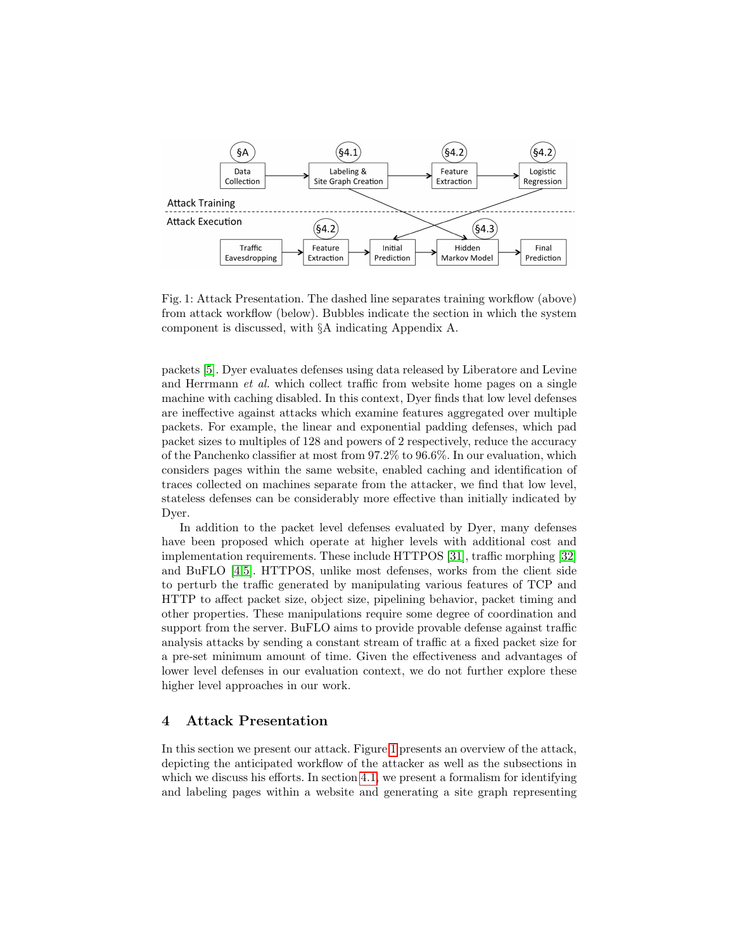<span id="page-6-1"></span>

Fig. 1: Attack Presentation. The dashed line separates training workflow (above) from attack workflow (below). Bubbles indicate the section in which the system component is discussed, with §A indicating Appendix A.

packets [\[5\]](#page-24-4). Dyer evaluates defenses using data released by Liberatore and Levine and Herrmann *et al.* which collect traffic from website home pages on a single machine with caching disabled. In this context, Dyer finds that low level defenses are ineffective against attacks which examine features aggregated over multiple packets. For example, the linear and exponential padding defenses, which pad packet sizes to multiples of 128 and powers of 2 respectively, reduce the accuracy of the Panchenko classifier at most from 97.2% to 96.6%. In our evaluation, which considers pages within the same website, enabled caching and identification of traces collected on machines separate from the attacker, we find that low level, stateless defenses can be considerably more effective than initially indicated by Dyer.

In addition to the packet level defenses evaluated by Dyer, many defenses have been proposed which operate at higher levels with additional cost and implementation requirements. These include HTTPOS [\[31\]](#page-25-18), traffic morphing [\[32\]](#page-25-19) and BuFLO [\[4,](#page-24-3)[5\]](#page-24-4). HTTPOS, unlike most defenses, works from the client side to perturb the traffic generated by manipulating various features of TCP and HTTP to affect packet size, object size, pipelining behavior, packet timing and other properties. These manipulations require some degree of coordination and support from the server. BuFLO aims to provide provable defense against traffic analysis attacks by sending a constant stream of traffic at a fixed packet size for a pre-set minimum amount of time. Given the effectiveness and advantages of lower level defenses in our evaluation context, we do not further explore these higher level approaches in our work.

## <span id="page-6-0"></span>4 Attack Presentation

In this section we present our attack. Figure [1](#page-6-1) presents an overview of the attack, depicting the anticipated workflow of the attacker as well as the subsections in which we discuss his efforts. In section [4.1,](#page-7-0) we present a formalism for identifying and labeling pages within a website and generating a site graph representing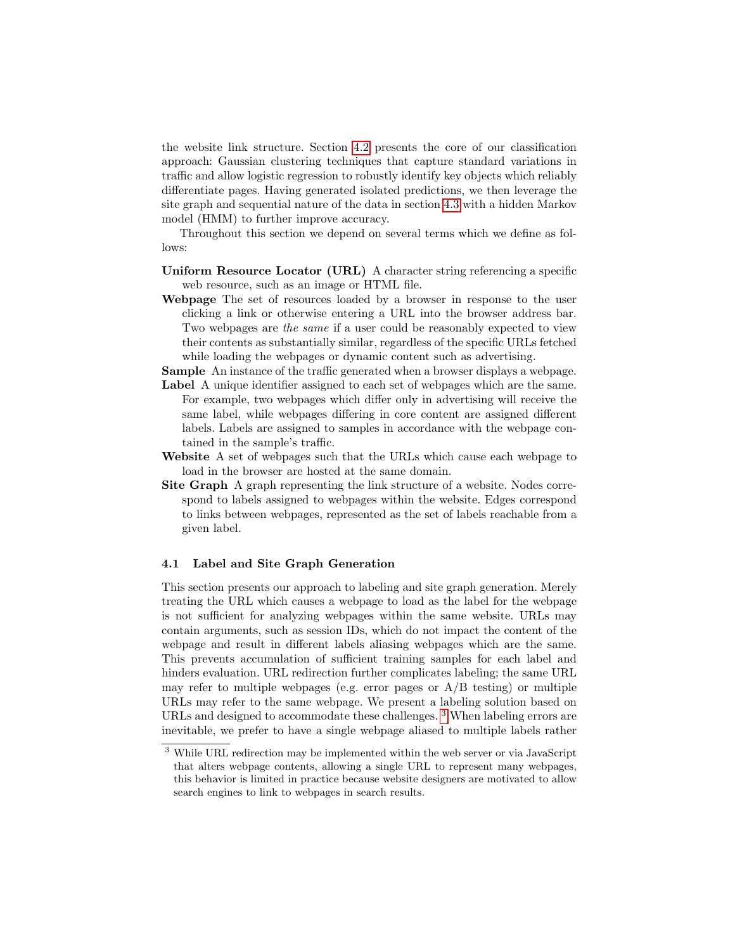the website link structure. Section [4.2](#page-10-0) presents the core of our classification approach: Gaussian clustering techniques that capture standard variations in traffic and allow logistic regression to robustly identify key objects which reliably differentiate pages. Having generated isolated predictions, we then leverage the site graph and sequential nature of the data in section [4.3](#page-12-0) with a hidden Markov model (HMM) to further improve accuracy.

Throughout this section we depend on several terms which we define as follows:

- Uniform Resource Locator (URL) A character string referencing a specific web resource, such as an image or HTML file.
- Webpage The set of resources loaded by a browser in response to the user clicking a link or otherwise entering a URL into the browser address bar. Two webpages are the same if a user could be reasonably expected to view their contents as substantially similar, regardless of the specific URLs fetched while loading the webpages or dynamic content such as advertising.
- Sample An instance of the traffic generated when a browser displays a webpage.
- Label A unique identifier assigned to each set of webpages which are the same. For example, two webpages which differ only in advertising will receive the same label, while webpages differing in core content are assigned different labels. Labels are assigned to samples in accordance with the webpage contained in the sample's traffic.
- Website A set of webpages such that the URLs which cause each webpage to load in the browser are hosted at the same domain.
- Site Graph A graph representing the link structure of a website. Nodes correspond to labels assigned to webpages within the website. Edges correspond to links between webpages, represented as the set of labels reachable from a given label.

#### <span id="page-7-0"></span>4.1 Label and Site Graph Generation

This section presents our approach to labeling and site graph generation. Merely treating the URL which causes a webpage to load as the label for the webpage is not sufficient for analyzing webpages within the same website. URLs may contain arguments, such as session IDs, which do not impact the content of the webpage and result in different labels aliasing webpages which are the same. This prevents accumulation of sufficient training samples for each label and hinders evaluation. URL redirection further complicates labeling; the same URL may refer to multiple webpages (e.g. error pages or  $A/B$  testing) or multiple URLs may refer to the same webpage. We present a labeling solution based on URLs and designed to accommodate these challenges. [3](#page-7-1) When labeling errors are inevitable, we prefer to have a single webpage aliased to multiple labels rather

<span id="page-7-1"></span><sup>3</sup> While URL redirection may be implemented within the web server or via JavaScript that alters webpage contents, allowing a single URL to represent many webpages, this behavior is limited in practice because website designers are motivated to allow search engines to link to webpages in search results.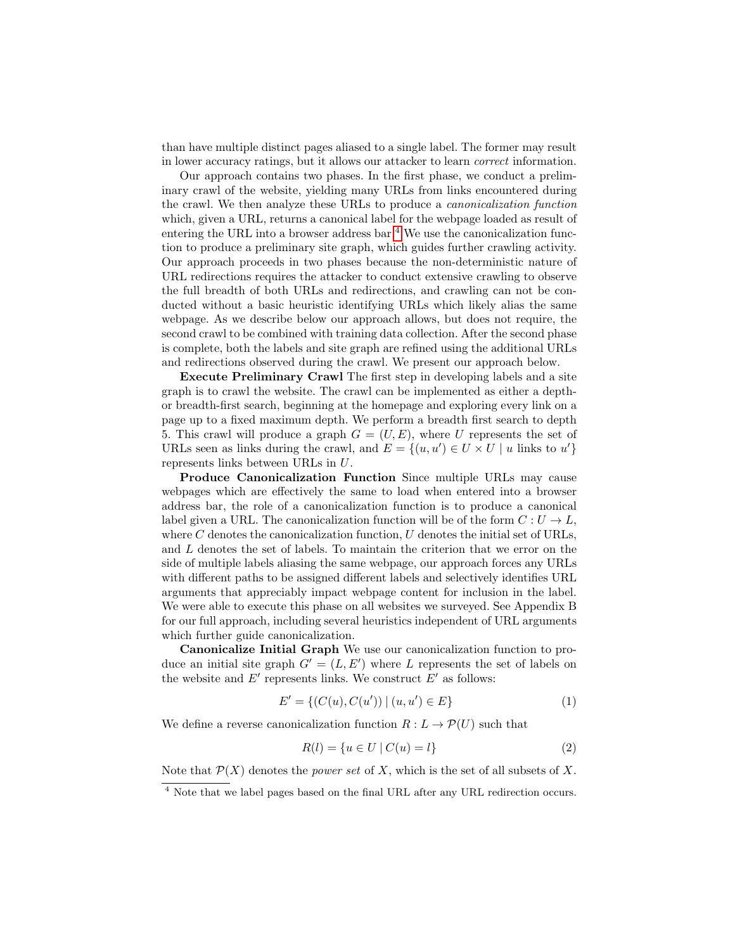than have multiple distinct pages aliased to a single label. The former may result in lower accuracy ratings, but it allows our attacker to learn correct information.

Our approach contains two phases. In the first phase, we conduct a preliminary crawl of the website, yielding many URLs from links encountered during the crawl. We then analyze these URLs to produce a canonicalization function which, given a URL, returns a canonical label for the webpage loaded as result of entering the URL into a browser address bar.<sup>[4](#page-8-0)</sup> We use the canonicalization function to produce a preliminary site graph, which guides further crawling activity. Our approach proceeds in two phases because the non-deterministic nature of URL redirections requires the attacker to conduct extensive crawling to observe the full breadth of both URLs and redirections, and crawling can not be conducted without a basic heuristic identifying URLs which likely alias the same webpage. As we describe below our approach allows, but does not require, the second crawl to be combined with training data collection. After the second phase is complete, both the labels and site graph are refined using the additional URLs and redirections observed during the crawl. We present our approach below.

Execute Preliminary Crawl The first step in developing labels and a site graph is to crawl the website. The crawl can be implemented as either a depthor breadth-first search, beginning at the homepage and exploring every link on a page up to a fixed maximum depth. We perform a breadth first search to depth 5. This crawl will produce a graph  $G = (U, E)$ , where U represents the set of URLs seen as links during the crawl, and  $E = \{(u, u') \in U \times U \mid u \text{ links to } u'\}$ represents links between URLs in U.

Produce Canonicalization Function Since multiple URLs may cause webpages which are effectively the same to load when entered into a browser address bar, the role of a canonicalization function is to produce a canonical label given a URL. The canonicalization function will be of the form  $C: U \to L$ , where  $C$  denotes the canonicalization function,  $U$  denotes the initial set of URLs, and L denotes the set of labels. To maintain the criterion that we error on the side of multiple labels aliasing the same webpage, our approach forces any URLs with different paths to be assigned different labels and selectively identifies URL arguments that appreciably impact webpage content for inclusion in the label. We were able to execute this phase on all websites we surveyed. See Appendix B for our full approach, including several heuristics independent of URL arguments which further guide canonicalization.

Canonicalize Initial Graph We use our canonicalization function to produce an initial site graph  $G' = (L, E')$  where L represents the set of labels on the website and  $E'$  represents links. We construct  $E'$  as follows:

$$
E' = \{ (C(u), C(u')) \mid (u, u') \in E \}
$$
 (1)

We define a reverse canonicalization function  $R : L \to \mathcal{P}(U)$  such that

$$
R(l) = \{ u \in U \mid C(u) = l \}
$$
\n(2)

Note that  $\mathcal{P}(X)$  denotes the *power set* of X, which is the set of all subsets of X.

<span id="page-8-0"></span><sup>4</sup> Note that we label pages based on the final URL after any URL redirection occurs.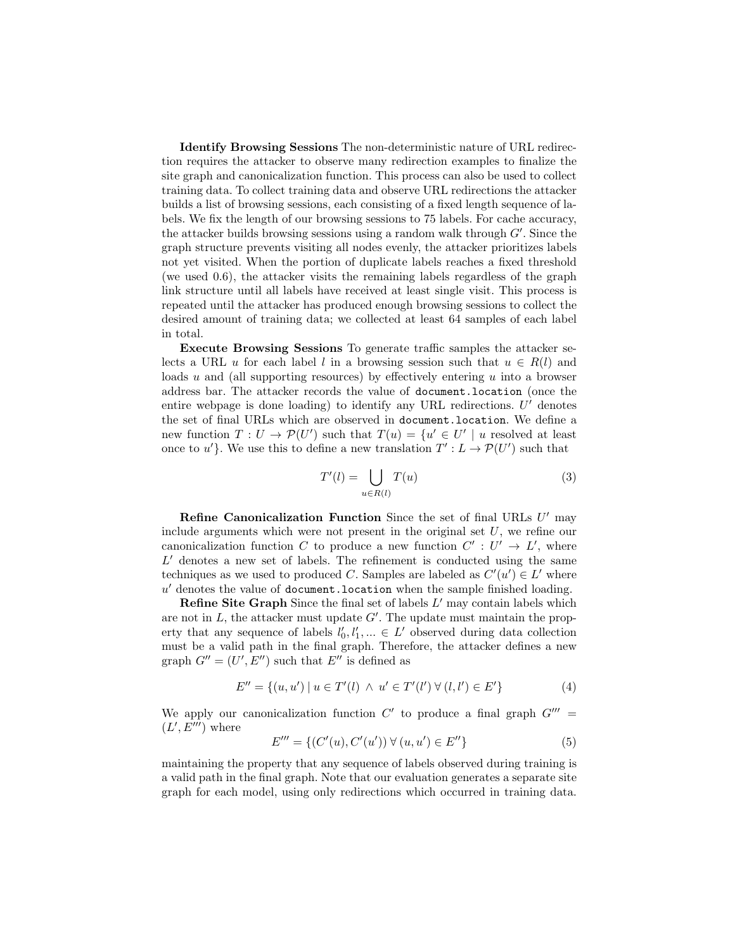Identify Browsing Sessions The non-deterministic nature of URL redirection requires the attacker to observe many redirection examples to finalize the site graph and canonicalization function. This process can also be used to collect training data. To collect training data and observe URL redirections the attacker builds a list of browsing sessions, each consisting of a fixed length sequence of labels. We fix the length of our browsing sessions to 75 labels. For cache accuracy, the attacker builds browsing sessions using a random walk through  $G'$ . Since the graph structure prevents visiting all nodes evenly, the attacker prioritizes labels not yet visited. When the portion of duplicate labels reaches a fixed threshold (we used 0.6), the attacker visits the remaining labels regardless of the graph link structure until all labels have received at least single visit. This process is repeated until the attacker has produced enough browsing sessions to collect the desired amount of training data; we collected at least 64 samples of each label in total.

Execute Browsing Sessions To generate traffic samples the attacker selects a URL u for each label l in a browsing session such that  $u \in R(l)$  and loads  $u$  and (all supporting resources) by effectively entering  $u$  into a browser address bar. The attacker records the value of document.location (once the entire webpage is done loading) to identify any URL redirections.  $U'$  denotes the set of final URLs which are observed in document.location. We define a new function  $T: U \to \mathcal{P}(U')$  such that  $T(u) = \{u' \in U' \mid u \text{ resolved at least}$ once to u'}. We use this to define a new translation  $T' : L \to \mathcal{P}(U')$  such that

$$
T'(l) = \bigcup_{u \in R(l)} T(u) \tag{3}
$$

Refine Canonicalization Function Since the set of final URLs  $U'$  may include arguments which were not present in the original set  $U$ , we refine our canonicalization function C to produce a new function  $C': U' \to L'$ , where  $L'$  denotes a new set of labels. The refinement is conducted using the same techniques as we used to produced C. Samples are labeled as  $C'(u') \in L'$  where  $u'$  denotes the value of document.location when the sample finished loading.

**Refine Site Graph** Since the final set of labels  $L'$  may contain labels which are not in  $L$ , the attacker must update  $G'$ . The update must maintain the property that any sequence of labels  $l'_0, l'_1, \dots \in L'$  observed during data collection must be a valid path in the final graph. Therefore, the attacker defines a new graph  $G'' = (U', E'')$  such that  $E''$  is defined as

$$
E'' = \{(u, u') \mid u \in T'(l) \land u' \in T'(l') \forall (l, l') \in E'\}
$$
(4)

We apply our canonicalization function  $C'$  to produce a final graph  $G''' =$  $(L', E''')$  where

$$
E''' = \{ (C'(u), C'(u')) \,\forall \,(u, u') \in E'' \}
$$
\n(5)

maintaining the property that any sequence of labels observed during training is a valid path in the final graph. Note that our evaluation generates a separate site graph for each model, using only redirections which occurred in training data.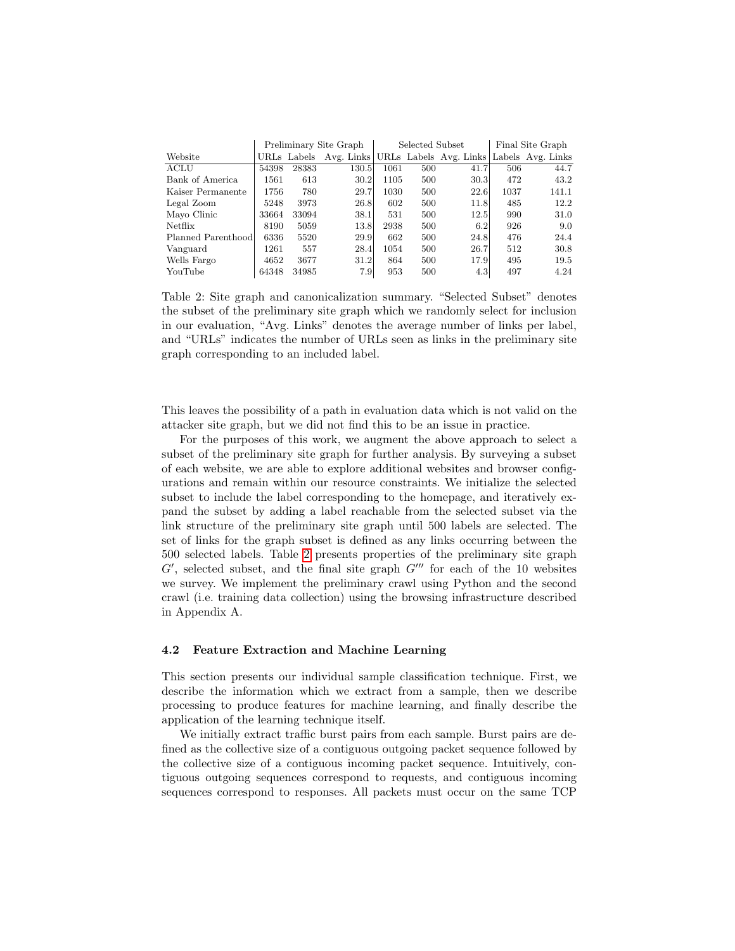<span id="page-10-1"></span>

|                    | Preliminary Site Graph |             |       |      | Selected Subset | Final Site Graph                  |      |                   |  |
|--------------------|------------------------|-------------|-------|------|-----------------|-----------------------------------|------|-------------------|--|
| Website            |                        | URLs Labels |       |      |                 | Avg. Links URLs Labels Avg. Links |      | Labels Avg. Links |  |
| ACLU               | 54398                  | 28383       | 130.5 | 1061 | 500             | 41.7                              | 506  | 44.7              |  |
| Bank of America    | 1561                   | 613         | 30.2  | 1105 | 500             | 30.3                              | 472  | 43.2              |  |
| Kaiser Permanente  | 1756                   | 780         | 29.7  | 1030 | 500             | <b>22.6</b>                       | 1037 | 141.1             |  |
| Legal Zoom         | 5248                   | 3973        | 26.8  | 602  | 500             | 11.8                              | 485  | 12.2              |  |
| Mayo Clinic        | 33664                  | 33094       | 38.1  | 531  | 500             | 12.5                              | 990  | 31.0              |  |
| <b>Netflix</b>     | 8190                   | 5059        | 13.8  | 2938 | 500             | 6.2                               | 926  | 9.0               |  |
| Planned Parenthood | 6336                   | 5520        | 29.9  | 662  | 500             | 24.8                              | 476  | 24.4              |  |
| Vanguard           | 1261                   | 557         | 28.4  | 1054 | 500             | 26.7                              | 512  | 30.8              |  |
| Wells Fargo        | 4652                   | 3677        | 31.2  | 864  | 500             | 17.9                              | 495  | 19.5              |  |
| YouTube            | 64348                  | 34985       | 7.9   | 953  | 500             | 4.3                               | 497  | 4.24              |  |

Table 2: Site graph and canonicalization summary. "Selected Subset" denotes the subset of the preliminary site graph which we randomly select for inclusion in our evaluation, "Avg. Links" denotes the average number of links per label, and "URLs" indicates the number of URLs seen as links in the preliminary site graph corresponding to an included label.

This leaves the possibility of a path in evaluation data which is not valid on the attacker site graph, but we did not find this to be an issue in practice.

For the purposes of this work, we augment the above approach to select a subset of the preliminary site graph for further analysis. By surveying a subset of each website, we are able to explore additional websites and browser configurations and remain within our resource constraints. We initialize the selected subset to include the label corresponding to the homepage, and iteratively expand the subset by adding a label reachable from the selected subset via the link structure of the preliminary site graph until 500 labels are selected. The set of links for the graph subset is defined as any links occurring between the 500 selected labels. Table [2](#page-10-1) presents properties of the preliminary site graph  $G'$ , selected subset, and the final site graph  $G'''$  for each of the 10 websites we survey. We implement the preliminary crawl using Python and the second crawl (i.e. training data collection) using the browsing infrastructure described in Appendix A.

#### <span id="page-10-0"></span>4.2 Feature Extraction and Machine Learning

This section presents our individual sample classification technique. First, we describe the information which we extract from a sample, then we describe processing to produce features for machine learning, and finally describe the application of the learning technique itself.

We initially extract traffic burst pairs from each sample. Burst pairs are defined as the collective size of a contiguous outgoing packet sequence followed by the collective size of a contiguous incoming packet sequence. Intuitively, contiguous outgoing sequences correspond to requests, and contiguous incoming sequences correspond to responses. All packets must occur on the same TCP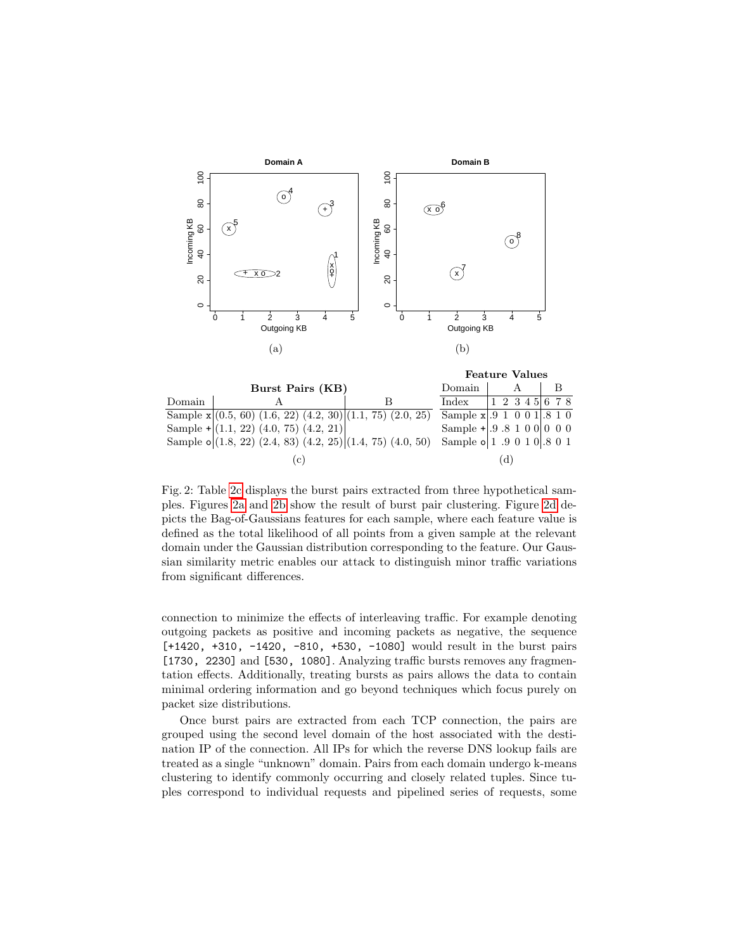<span id="page-11-4"></span><span id="page-11-1"></span>

<span id="page-11-3"></span><span id="page-11-2"></span><span id="page-11-0"></span>

|        |                                                                                      | τταιμιτ ναιμτο |                                  |  |  |  |  |  |  |  |
|--------|--------------------------------------------------------------------------------------|----------------|----------------------------------|--|--|--|--|--|--|--|
|        | Domain                                                                               |                |                                  |  |  |  |  |  |  |  |
| Domain |                                                                                      |                | Index   $1\ 2\ 3\ 4\ 5\ 6\ 7\ 8$ |  |  |  |  |  |  |  |
|        | Sample $\mathbf{x}(0.5, 60)$ $(1.6, 22)$ $\overline{(4.2, 30)}(1.1, 75)$ $(2.0, 25)$ |                | Sample $x .9 1 0 0 1 .8 1 0$     |  |  |  |  |  |  |  |
|        | Sample $+ (1.1, 22)$ (4.0, 75) (4.2, 21)                                             |                | Sample $\pm$ 9.8 1 0 0 0 0 0     |  |  |  |  |  |  |  |
|        | Sample $o (1.8, 22)(2.4, 83)(4.2, 25) (1.4, 75)(4.0, 50)$ Sample $o 1.9010 8.01$     |                |                                  |  |  |  |  |  |  |  |
|        | (d)                                                                                  |                |                                  |  |  |  |  |  |  |  |

Fig. 2: Table [2c](#page-11-0) displays the burst pairs extracted from three hypothetical samples. Figures [2a](#page-11-1) and [2b](#page-11-2) show the result of burst pair clustering. Figure [2d](#page-11-3) depicts the Bag-of-Gaussians features for each sample, where each feature value is defined as the total likelihood of all points from a given sample at the relevant domain under the Gaussian distribution corresponding to the feature. Our Gaussian similarity metric enables our attack to distinguish minor traffic variations from significant differences.

connection to minimize the effects of interleaving traffic. For example denoting outgoing packets as positive and incoming packets as negative, the sequence [+1420, +310, -1420, -810, +530, -1080] would result in the burst pairs [1730, 2230] and [530, 1080]. Analyzing traffic bursts removes any fragmentation effects. Additionally, treating bursts as pairs allows the data to contain minimal ordering information and go beyond techniques which focus purely on packet size distributions.

Once burst pairs are extracted from each TCP connection, the pairs are grouped using the second level domain of the host associated with the destination IP of the connection. All IPs for which the reverse DNS lookup fails are treated as a single "unknown" domain. Pairs from each domain undergo k-means clustering to identify commonly occurring and closely related tuples. Since tuples correspond to individual requests and pipelined series of requests, some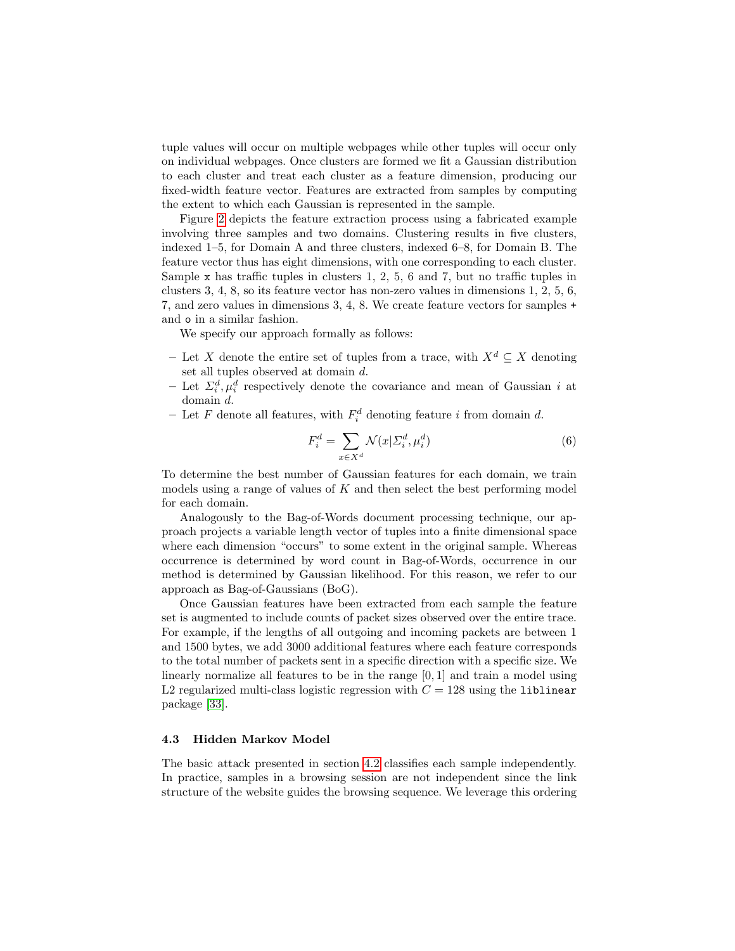tuple values will occur on multiple webpages while other tuples will occur only on individual webpages. Once clusters are formed we fit a Gaussian distribution to each cluster and treat each cluster as a feature dimension, producing our fixed-width feature vector. Features are extracted from samples by computing the extent to which each Gaussian is represented in the sample.

Figure [2](#page-11-4) depicts the feature extraction process using a fabricated example involving three samples and two domains. Clustering results in five clusters, indexed 1–5, for Domain A and three clusters, indexed 6–8, for Domain B. The feature vector thus has eight dimensions, with one corresponding to each cluster. Sample x has traffic tuples in clusters 1, 2, 5, 6 and 7, but no traffic tuples in clusters 3, 4, 8, so its feature vector has non-zero values in dimensions 1, 2, 5, 6, 7, and zero values in dimensions 3, 4, 8. We create feature vectors for samples + and o in a similar fashion.

We specify our approach formally as follows:

- Let X denote the entire set of tuples from a trace, with  $X^d$  ⊂ X denoting set all tuples observed at domain d.
- Let  $\Sigma_i^d, \mu_i^d$  respectively denote the covariance and mean of Gaussian i at domain d.
- Let F denote all features, with  $F_i^d$  denoting feature i from domain d.

$$
F_i^d = \sum_{x \in X^d} \mathcal{N}(x | \Sigma_i^d, \mu_i^d) \tag{6}
$$

To determine the best number of Gaussian features for each domain, we train models using a range of values of  $K$  and then select the best performing model for each domain.

Analogously to the Bag-of-Words document processing technique, our approach projects a variable length vector of tuples into a finite dimensional space where each dimension "occurs" to some extent in the original sample. Whereas occurrence is determined by word count in Bag-of-Words, occurrence in our method is determined by Gaussian likelihood. For this reason, we refer to our approach as Bag-of-Gaussians (BoG).

Once Gaussian features have been extracted from each sample the feature set is augmented to include counts of packet sizes observed over the entire trace. For example, if the lengths of all outgoing and incoming packets are between 1 and 1500 bytes, we add 3000 additional features where each feature corresponds to the total number of packets sent in a specific direction with a specific size. We linearly normalize all features to be in the range [0, 1] and train a model using L2 regularized multi-class logistic regression with  $C = 128$  using the liblinear package [\[33\]](#page-25-20).

## <span id="page-12-0"></span>4.3 Hidden Markov Model

The basic attack presented in section [4.2](#page-10-0) classifies each sample independently. In practice, samples in a browsing session are not independent since the link structure of the website guides the browsing sequence. We leverage this ordering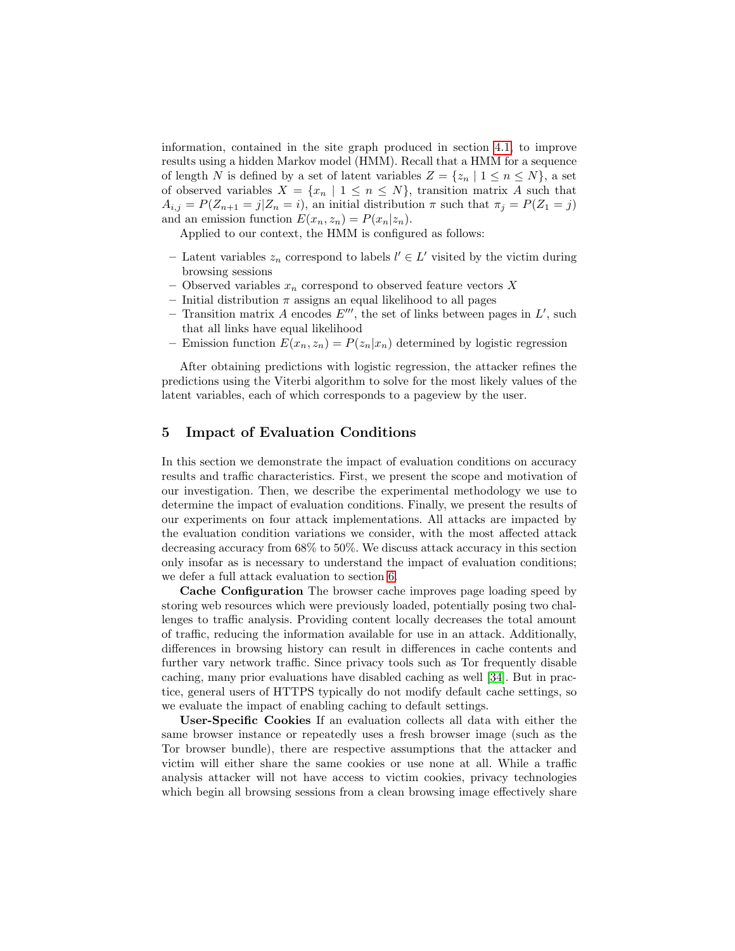information, contained in the site graph produced in section [4.1,](#page-7-0) to improve results using a hidden Markov model (HMM). Recall that a HMM for a sequence of length N is defined by a set of latent variables  $Z = \{z_n | 1 \leq n \leq N\}$ , a set of observed variables  $X = \{x_n | 1 \le n \le N\}$ , transition matrix A such that  $A_{i,j} = P(Z_{n+1} = j | Z_n = i)$ , an initial distribution  $\pi$  such that  $\pi_j = P(Z_1 = j)$ and an emission function  $E(x_n, z_n) = P(x_n | z_n)$ .

Applied to our context, the HMM is configured as follows:

- − Latent variables  $z_n$  correspond to labels  $l' \in L'$  visited by the victim during browsing sessions
- Observed variables  $x_n$  correspond to observed feature vectors X
- Initial distribution  $\pi$  assigns an equal likelihood to all pages
- Transition matrix A encodes  $E^{\prime\prime\prime}$ , the set of links between pages in  $L^{\prime}$ , such that all links have equal likelihood
- Emission function  $E(x_n, z_n) = P(z_n|x_n)$  determined by logistic regression

After obtaining predictions with logistic regression, the attacker refines the predictions using the Viterbi algorithm to solve for the most likely values of the latent variables, each of which corresponds to a pageview by the user.

### <span id="page-13-0"></span>5 Impact of Evaluation Conditions

In this section we demonstrate the impact of evaluation conditions on accuracy results and traffic characteristics. First, we present the scope and motivation of our investigation. Then, we describe the experimental methodology we use to determine the impact of evaluation conditions. Finally, we present the results of our experiments on four attack implementations. All attacks are impacted by the evaluation condition variations we consider, with the most affected attack decreasing accuracy from 68% to 50%. We discuss attack accuracy in this section only insofar as is necessary to understand the impact of evaluation conditions; we defer a full attack evaluation to section [6.](#page-18-0)

Cache Configuration The browser cache improves page loading speed by storing web resources which were previously loaded, potentially posing two challenges to traffic analysis. Providing content locally decreases the total amount of traffic, reducing the information available for use in an attack. Additionally, differences in browsing history can result in differences in cache contents and further vary network traffic. Since privacy tools such as Tor frequently disable caching, many prior evaluations have disabled caching as well [\[34\]](#page-25-21). But in practice, general users of HTTPS typically do not modify default cache settings, so we evaluate the impact of enabling caching to default settings.

User-Specific Cookies If an evaluation collects all data with either the same browser instance or repeatedly uses a fresh browser image (such as the Tor browser bundle), there are respective assumptions that the attacker and victim will either share the same cookies or use none at all. While a traffic analysis attacker will not have access to victim cookies, privacy technologies which begin all browsing sessions from a clean browsing image effectively share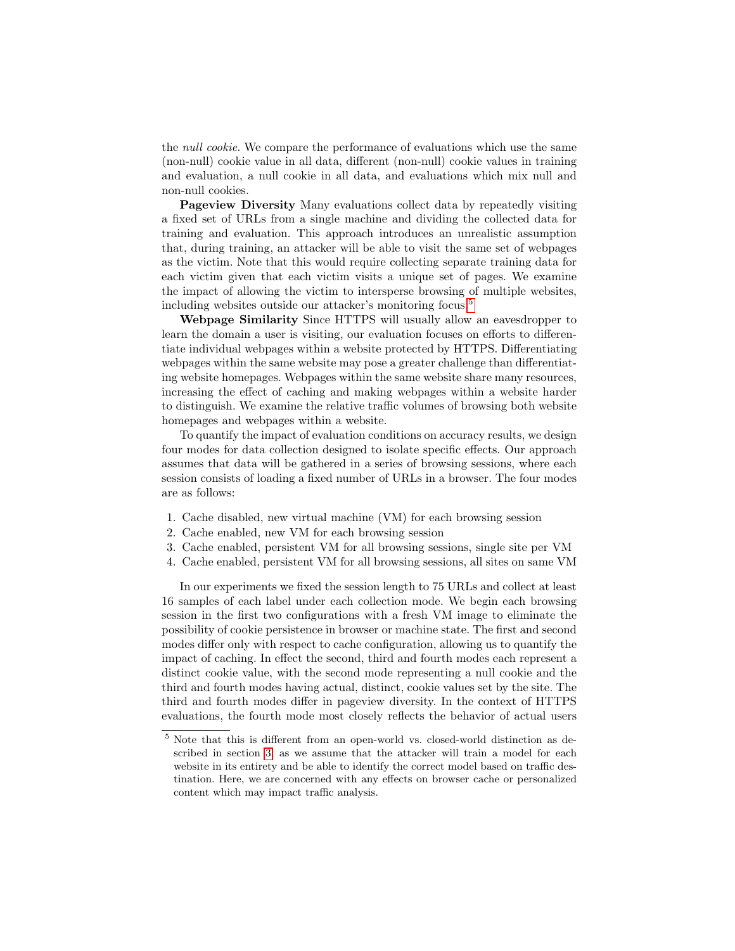the null cookie. We compare the performance of evaluations which use the same (non-null) cookie value in all data, different (non-null) cookie values in training and evaluation, a null cookie in all data, and evaluations which mix null and non-null cookies.

Pageview Diversity Many evaluations collect data by repeatedly visiting a fixed set of URLs from a single machine and dividing the collected data for training and evaluation. This approach introduces an unrealistic assumption that, during training, an attacker will be able to visit the same set of webpages as the victim. Note that this would require collecting separate training data for each victim given that each victim visits a unique set of pages. We examine the impact of allowing the victim to intersperse browsing of multiple websites, including websites outside our attacker's monitoring focus.[5](#page-14-0)

Webpage Similarity Since HTTPS will usually allow an eavesdropper to learn the domain a user is visiting, our evaluation focuses on efforts to differentiate individual webpages within a website protected by HTTPS. Differentiating webpages within the same website may pose a greater challenge than differentiating website homepages. Webpages within the same website share many resources, increasing the effect of caching and making webpages within a website harder to distinguish. We examine the relative traffic volumes of browsing both website homepages and webpages within a website.

To quantify the impact of evaluation conditions on accuracy results, we design four modes for data collection designed to isolate specific effects. Our approach assumes that data will be gathered in a series of browsing sessions, where each session consists of loading a fixed number of URLs in a browser. The four modes are as follows:

- 1. Cache disabled, new virtual machine (VM) for each browsing session
- 2. Cache enabled, new VM for each browsing session
- 3. Cache enabled, persistent VM for all browsing sessions, single site per VM
- 4. Cache enabled, persistent VM for all browsing sessions, all sites on same VM

In our experiments we fixed the session length to 75 URLs and collect at least 16 samples of each label under each collection mode. We begin each browsing session in the first two configurations with a fresh VM image to eliminate the possibility of cookie persistence in browser or machine state. The first and second modes differ only with respect to cache configuration, allowing us to quantify the impact of caching. In effect the second, third and fourth modes each represent a distinct cookie value, with the second mode representing a null cookie and the third and fourth modes having actual, distinct, cookie values set by the site. The third and fourth modes differ in pageview diversity. In the context of HTTPS evaluations, the fourth mode most closely reflects the behavior of actual users

<span id="page-14-0"></span><sup>&</sup>lt;sup>5</sup> Note that this is different from an open-world vs. closed-world distinction as described in section [3,](#page-4-0) as we assume that the attacker will train a model for each website in its entirety and be able to identify the correct model based on traffic destination. Here, we are concerned with any effects on browser cache or personalized content which may impact traffic analysis.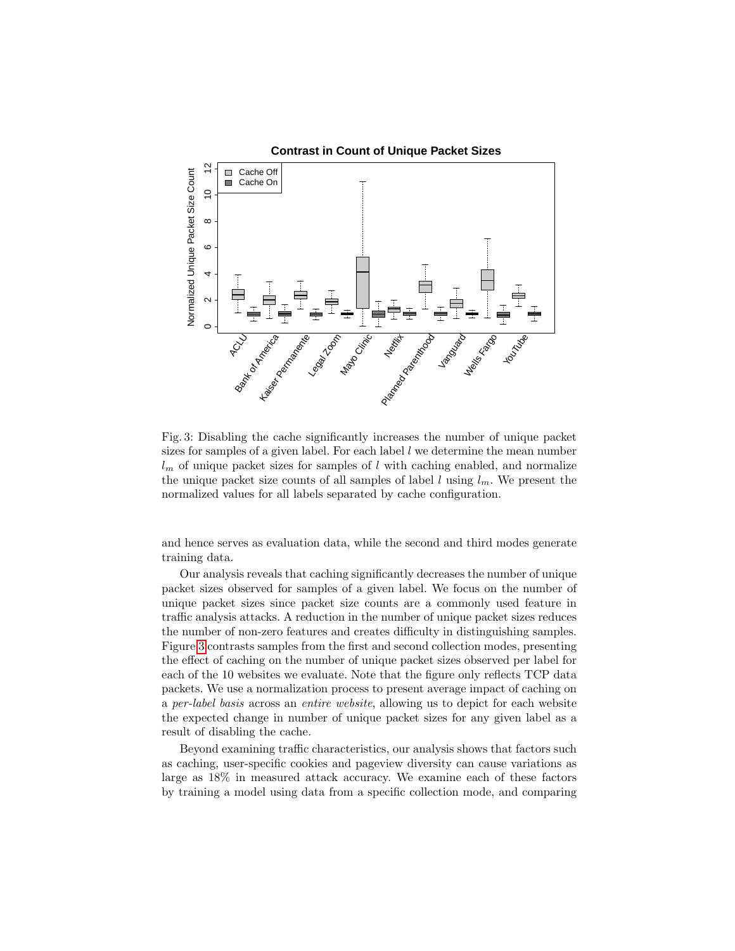<span id="page-15-0"></span>

Fig. 3: Disabling the cache significantly increases the number of unique packet sizes for samples of a given label. For each label  $l$  we determine the mean number  $l_m$  of unique packet sizes for samples of l with caching enabled, and normalize the unique packet size counts of all samples of label l using  $l_m$ . We present the normalized values for all labels separated by cache configuration.

and hence serves as evaluation data, while the second and third modes generate training data.

Our analysis reveals that caching significantly decreases the number of unique packet sizes observed for samples of a given label. We focus on the number of unique packet sizes since packet size counts are a commonly used feature in traffic analysis attacks. A reduction in the number of unique packet sizes reduces the number of non-zero features and creates difficulty in distinguishing samples. Figure [3](#page-15-0) contrasts samples from the first and second collection modes, presenting the effect of caching on the number of unique packet sizes observed per label for each of the 10 websites we evaluate. Note that the figure only reflects TCP data packets. We use a normalization process to present average impact of caching on a per-label basis across an entire website, allowing us to depict for each website the expected change in number of unique packet sizes for any given label as a result of disabling the cache.

Beyond examining traffic characteristics, our analysis shows that factors such as caching, user-specific cookies and pageview diversity can cause variations as large as 18% in measured attack accuracy. We examine each of these factors by training a model using data from a specific collection mode, and comparing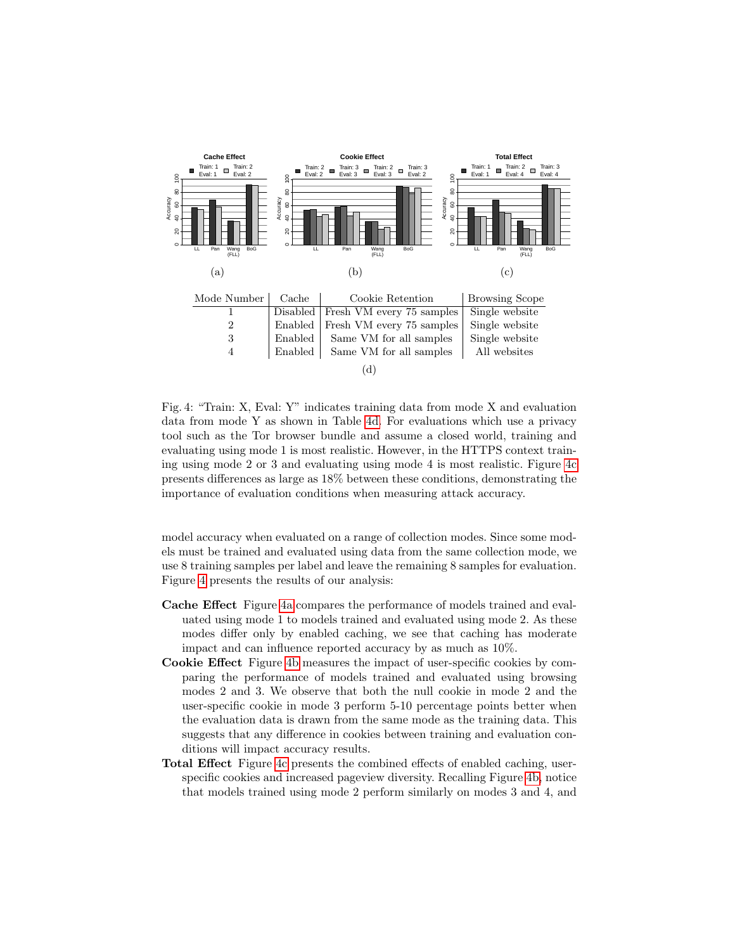<span id="page-16-4"></span><span id="page-16-3"></span><span id="page-16-2"></span><span id="page-16-1"></span>

<span id="page-16-0"></span>Fig. 4: "Train: X, Eval: Y" indicates training data from mode X and evaluation data from mode Y as shown in Table [4d.](#page-16-0) For evaluations which use a privacy tool such as the Tor browser bundle and assume a closed world, training and evaluating using mode 1 is most realistic. However, in the HTTPS context training using mode 2 or 3 and evaluating using mode 4 is most realistic. Figure [4c](#page-16-1) presents differences as large as 18% between these conditions, demonstrating the importance of evaluation conditions when measuring attack accuracy.

model accuracy when evaluated on a range of collection modes. Since some models must be trained and evaluated using data from the same collection mode, we use 8 training samples per label and leave the remaining 8 samples for evaluation. Figure [4](#page-16-2) presents the results of our analysis:

- Cache Effect Figure [4a](#page-16-3) compares the performance of models trained and evaluated using mode 1 to models trained and evaluated using mode 2. As these modes differ only by enabled caching, we see that caching has moderate impact and can influence reported accuracy by as much as 10%.
- Cookie Effect Figure [4b](#page-16-4) measures the impact of user-specific cookies by comparing the performance of models trained and evaluated using browsing modes 2 and 3. We observe that both the null cookie in mode 2 and the user-specific cookie in mode 3 perform 5-10 percentage points better when the evaluation data is drawn from the same mode as the training data. This suggests that any difference in cookies between training and evaluation conditions will impact accuracy results.
- Total Effect Figure [4c](#page-16-1) presents the combined effects of enabled caching, userspecific cookies and increased pageview diversity. Recalling Figure [4b,](#page-16-4) notice that models trained using mode 2 perform similarly on modes 3 and 4, and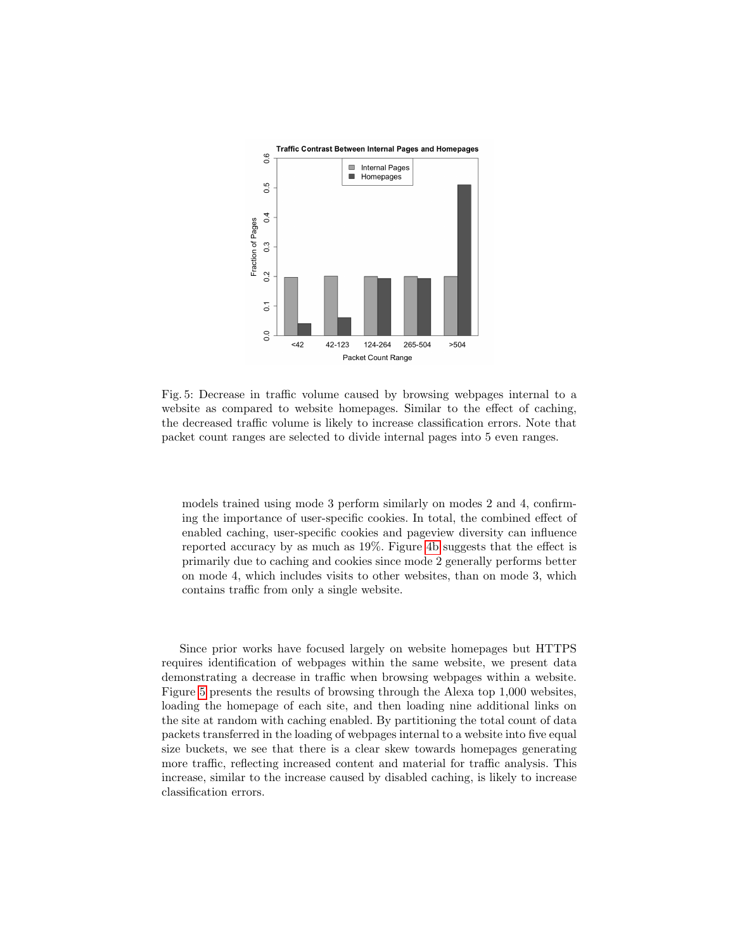<span id="page-17-0"></span>

Fig. 5: Decrease in traffic volume caused by browsing webpages internal to a website as compared to website homepages. Similar to the effect of caching, the decreased traffic volume is likely to increase classification errors. Note that packet count ranges are selected to divide internal pages into 5 even ranges.

models trained using mode 3 perform similarly on modes 2 and 4, confirming the importance of user-specific cookies. In total, the combined effect of enabled caching, user-specific cookies and pageview diversity can influence reported accuracy by as much as 19%. Figure [4b](#page-16-4) suggests that the effect is primarily due to caching and cookies since mode 2 generally performs better on mode 4, which includes visits to other websites, than on mode 3, which contains traffic from only a single website.

Since prior works have focused largely on website homepages but HTTPS requires identification of webpages within the same website, we present data demonstrating a decrease in traffic when browsing webpages within a website. Figure [5](#page-17-0) presents the results of browsing through the Alexa top 1,000 websites, loading the homepage of each site, and then loading nine additional links on the site at random with caching enabled. By partitioning the total count of data packets transferred in the loading of webpages internal to a website into five equal size buckets, we see that there is a clear skew towards homepages generating more traffic, reflecting increased content and material for traffic analysis. This increase, similar to the increase caused by disabled caching, is likely to increase classification errors.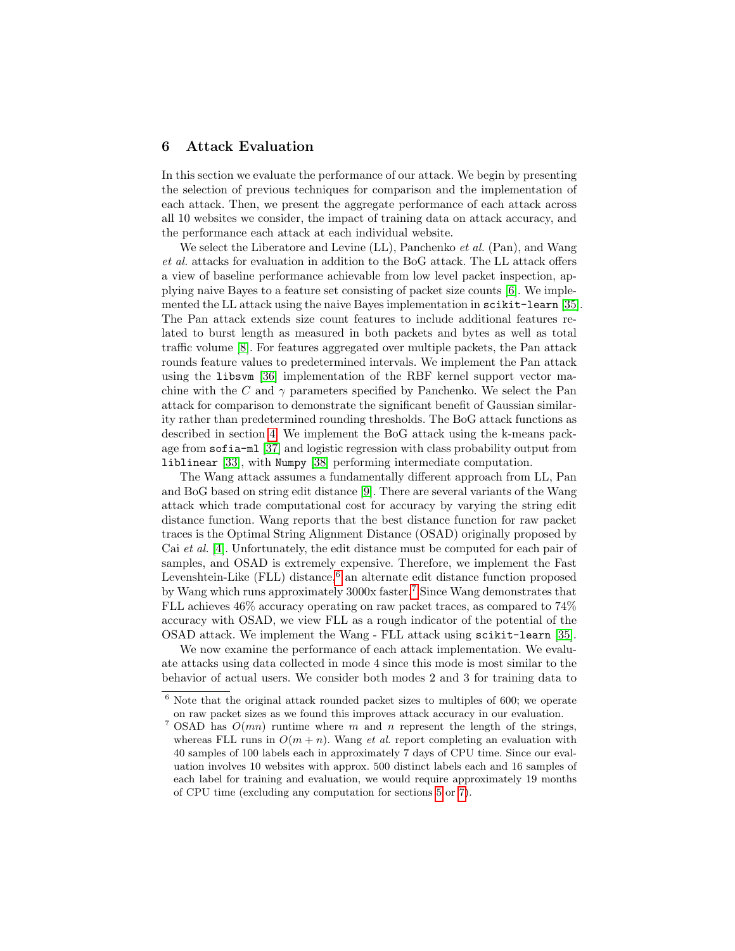### <span id="page-18-0"></span>6 Attack Evaluation

In this section we evaluate the performance of our attack. We begin by presenting the selection of previous techniques for comparison and the implementation of each attack. Then, we present the aggregate performance of each attack across all 10 websites we consider, the impact of training data on attack accuracy, and the performance each attack at each individual website.

We select the Liberatore and Levine (LL), Panchenko *et al.* (Pan), and Wang et al. attacks for evaluation in addition to the BoG attack. The LL attack offers a view of baseline performance achievable from low level packet inspection, applying naive Bayes to a feature set consisting of packet size counts [\[6\]](#page-24-5). We implemented the LL attack using the naive Bayes implementation in scikit-learn [\[35\]](#page-25-22). The Pan attack extends size count features to include additional features related to burst length as measured in both packets and bytes as well as total traffic volume [\[8\]](#page-24-7). For features aggregated over multiple packets, the Pan attack rounds feature values to predetermined intervals. We implement the Pan attack using the libsvm [\[36\]](#page-26-0) implementation of the RBF kernel support vector machine with the C and  $\gamma$  parameters specified by Panchenko. We select the Pan attack for comparison to demonstrate the significant benefit of Gaussian similarity rather than predetermined rounding thresholds. The BoG attack functions as described in section [4.](#page-6-0) We implement the BoG attack using the k-means package from sofia-ml [\[37\]](#page-26-1) and logistic regression with class probability output from liblinear [\[33\]](#page-25-20), with Numpy [\[38\]](#page-26-2) performing intermediate computation.

The Wang attack assumes a fundamentally different approach from LL, Pan and BoG based on string edit distance [\[9\]](#page-24-8). There are several variants of the Wang attack which trade computational cost for accuracy by varying the string edit distance function. Wang reports that the best distance function for raw packet traces is the Optimal String Alignment Distance (OSAD) originally proposed by Cai et al. [\[4\]](#page-24-3). Unfortunately, the edit distance must be computed for each pair of samples, and OSAD is extremely expensive. Therefore, we implement the Fast Levenshtein-Like  $(FLL)$  distance,<sup>[6](#page-18-1)</sup> an alternate edit distance function proposed by Wang which runs approximately 3000x faster.[7](#page-18-2) Since Wang demonstrates that FLL achieves 46% accuracy operating on raw packet traces, as compared to 74% accuracy with OSAD, we view FLL as a rough indicator of the potential of the OSAD attack. We implement the Wang - FLL attack using scikit-learn [\[35\]](#page-25-22).

We now examine the performance of each attack implementation. We evaluate attacks using data collected in mode 4 since this mode is most similar to the behavior of actual users. We consider both modes 2 and 3 for training data to

<span id="page-18-1"></span><sup>6</sup> Note that the original attack rounded packet sizes to multiples of 600; we operate on raw packet sizes as we found this improves attack accuracy in our evaluation.

<span id="page-18-2"></span><sup>&</sup>lt;sup>7</sup> OSAD has  $O(mn)$  runtime where m and n represent the length of the strings, whereas FLL runs in  $O(m + n)$ . Wang *et al.* report completing an evaluation with 40 samples of 100 labels each in approximately 7 days of CPU time. Since our evaluation involves 10 websites with approx. 500 distinct labels each and 16 samples of each label for training and evaluation, we would require approximately 19 months of CPU time (excluding any computation for sections [5](#page-13-0) or [7\)](#page-21-0).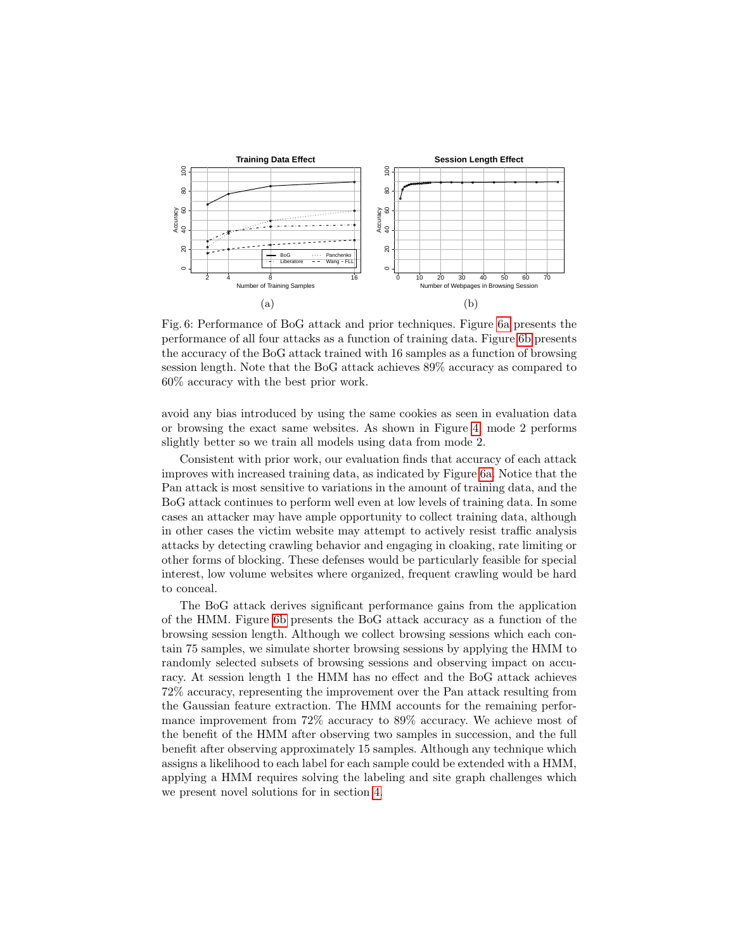<span id="page-19-0"></span>

<span id="page-19-1"></span>Fig. 6: Performance of BoG attack and prior techniques. Figure [6a](#page-19-0) presents the performance of all four attacks as a function of training data. Figure [6b](#page-19-1) presents the accuracy of the BoG attack trained with 16 samples as a function of browsing session length. Note that the BoG attack achieves 89% accuracy as compared to 60% accuracy with the best prior work.

avoid any bias introduced by using the same cookies as seen in evaluation data or browsing the exact same websites. As shown in Figure [4,](#page-16-2) mode 2 performs slightly better so we train all models using data from mode 2.

Consistent with prior work, our evaluation finds that accuracy of each attack improves with increased training data, as indicated by Figure [6a.](#page-19-0) Notice that the Pan attack is most sensitive to variations in the amount of training data, and the BoG attack continues to perform well even at low levels of training data. In some cases an attacker may have ample opportunity to collect training data, although in other cases the victim website may attempt to actively resist traffic analysis attacks by detecting crawling behavior and engaging in cloaking, rate limiting or other forms of blocking. These defenses would be particularly feasible for special interest, low volume websites where organized, frequent crawling would be hard to conceal.

The BoG attack derives significant performance gains from the application of the HMM. Figure [6b](#page-19-1) presents the BoG attack accuracy as a function of the browsing session length. Although we collect browsing sessions which each contain 75 samples, we simulate shorter browsing sessions by applying the HMM to randomly selected subsets of browsing sessions and observing impact on accuracy. At session length 1 the HMM has no effect and the BoG attack achieves 72% accuracy, representing the improvement over the Pan attack resulting from the Gaussian feature extraction. The HMM accounts for the remaining performance improvement from 72% accuracy to 89% accuracy. We achieve most of the benefit of the HMM after observing two samples in succession, and the full benefit after observing approximately 15 samples. Although any technique which assigns a likelihood to each label for each sample could be extended with a HMM, applying a HMM requires solving the labeling and site graph challenges which we present novel solutions for in section [4.](#page-6-0)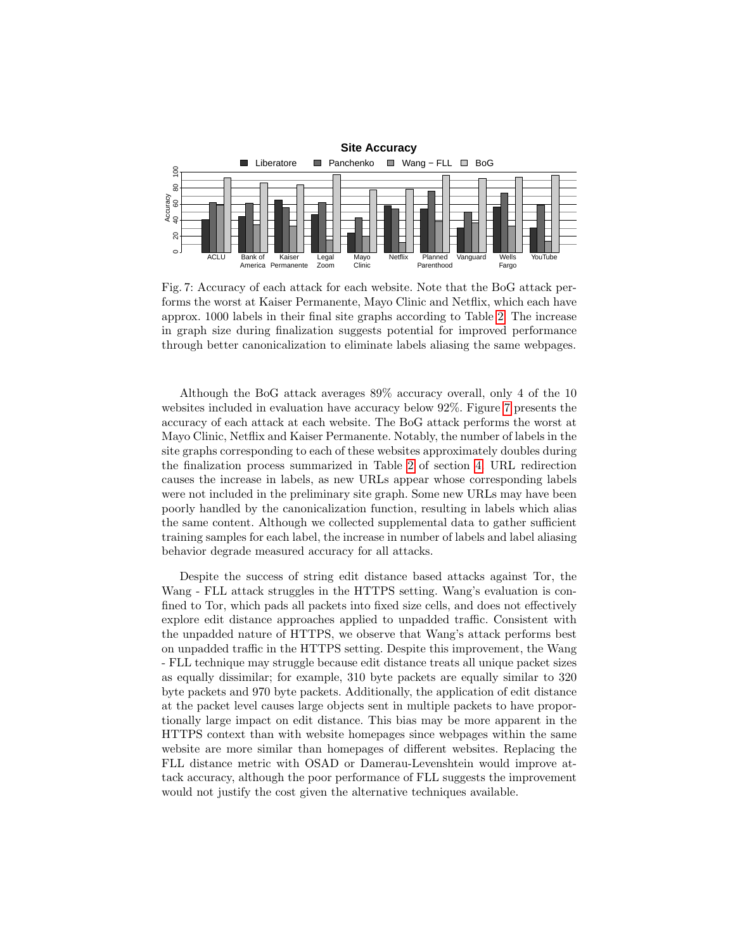<span id="page-20-0"></span>

Fig. 7: Accuracy of each attack for each website. Note that the BoG attack performs the worst at Kaiser Permanente, Mayo Clinic and Netflix, which each have approx. 1000 labels in their final site graphs according to Table [2.](#page-10-1) The increase in graph size during finalization suggests potential for improved performance through better canonicalization to eliminate labels aliasing the same webpages.

Although the BoG attack averages 89% accuracy overall, only 4 of the 10 websites included in evaluation have accuracy below 92%. Figure [7](#page-20-0) presents the accuracy of each attack at each website. The BoG attack performs the worst at Mayo Clinic, Netflix and Kaiser Permanente. Notably, the number of labels in the site graphs corresponding to each of these websites approximately doubles during the finalization process summarized in Table [2](#page-10-1) of section [4.](#page-6-0) URL redirection causes the increase in labels, as new URLs appear whose corresponding labels were not included in the preliminary site graph. Some new URLs may have been poorly handled by the canonicalization function, resulting in labels which alias the same content. Although we collected supplemental data to gather sufficient training samples for each label, the increase in number of labels and label aliasing behavior degrade measured accuracy for all attacks.

Despite the success of string edit distance based attacks against Tor, the Wang - FLL attack struggles in the HTTPS setting. Wang's evaluation is confined to Tor, which pads all packets into fixed size cells, and does not effectively explore edit distance approaches applied to unpadded traffic. Consistent with the unpadded nature of HTTPS, we observe that Wang's attack performs best on unpadded traffic in the HTTPS setting. Despite this improvement, the Wang - FLL technique may struggle because edit distance treats all unique packet sizes as equally dissimilar; for example, 310 byte packets are equally similar to 320 byte packets and 970 byte packets. Additionally, the application of edit distance at the packet level causes large objects sent in multiple packets to have proportionally large impact on edit distance. This bias may be more apparent in the HTTPS context than with website homepages since webpages within the same website are more similar than homepages of different websites. Replacing the FLL distance metric with OSAD or Damerau-Levenshtein would improve attack accuracy, although the poor performance of FLL suggests the improvement would not justify the cost given the alternative techniques available.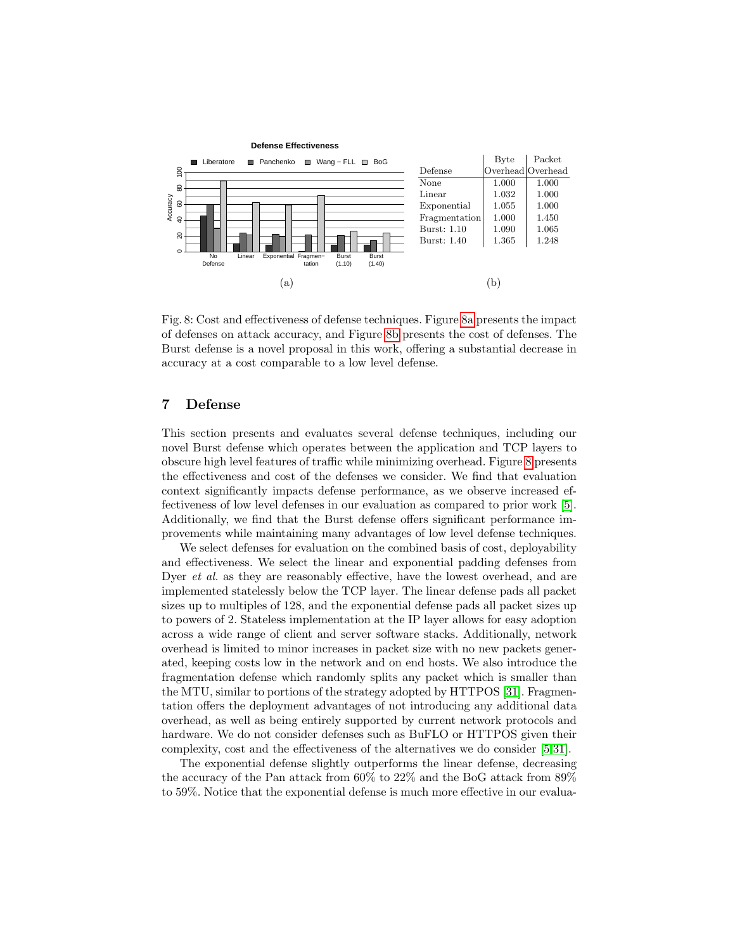<span id="page-21-3"></span><span id="page-21-1"></span>

<span id="page-21-2"></span>Fig. 8: Cost and effectiveness of defense techniques. Figure [8a](#page-21-1) presents the impact of defenses on attack accuracy, and Figure [8b](#page-21-2) presents the cost of defenses. The Burst defense is a novel proposal in this work, offering a substantial decrease in accuracy at a cost comparable to a low level defense.

### <span id="page-21-0"></span>7 Defense

This section presents and evaluates several defense techniques, including our novel Burst defense which operates between the application and TCP layers to obscure high level features of traffic while minimizing overhead. Figure [8](#page-21-3) presents the effectiveness and cost of the defenses we consider. We find that evaluation context significantly impacts defense performance, as we observe increased effectiveness of low level defenses in our evaluation as compared to prior work [\[5\]](#page-24-4). Additionally, we find that the Burst defense offers significant performance improvements while maintaining many advantages of low level defense techniques.

We select defenses for evaluation on the combined basis of cost, deployability and effectiveness. We select the linear and exponential padding defenses from Dyer *et al.* as they are reasonably effective, have the lowest overhead, and are implemented statelessly below the TCP layer. The linear defense pads all packet sizes up to multiples of 128, and the exponential defense pads all packet sizes up to powers of 2. Stateless implementation at the IP layer allows for easy adoption across a wide range of client and server software stacks. Additionally, network overhead is limited to minor increases in packet size with no new packets generated, keeping costs low in the network and on end hosts. We also introduce the fragmentation defense which randomly splits any packet which is smaller than the MTU, similar to portions of the strategy adopted by HTTPOS [\[31\]](#page-25-18). Fragmentation offers the deployment advantages of not introducing any additional data overhead, as well as being entirely supported by current network protocols and hardware. We do not consider defenses such as BuFLO or HTTPOS given their complexity, cost and the effectiveness of the alternatives we do consider [\[5,](#page-24-4)[31\]](#page-25-18).

The exponential defense slightly outperforms the linear defense, decreasing the accuracy of the Pan attack from 60% to 22% and the BoG attack from 89% to 59%. Notice that the exponential defense is much more effective in our evalua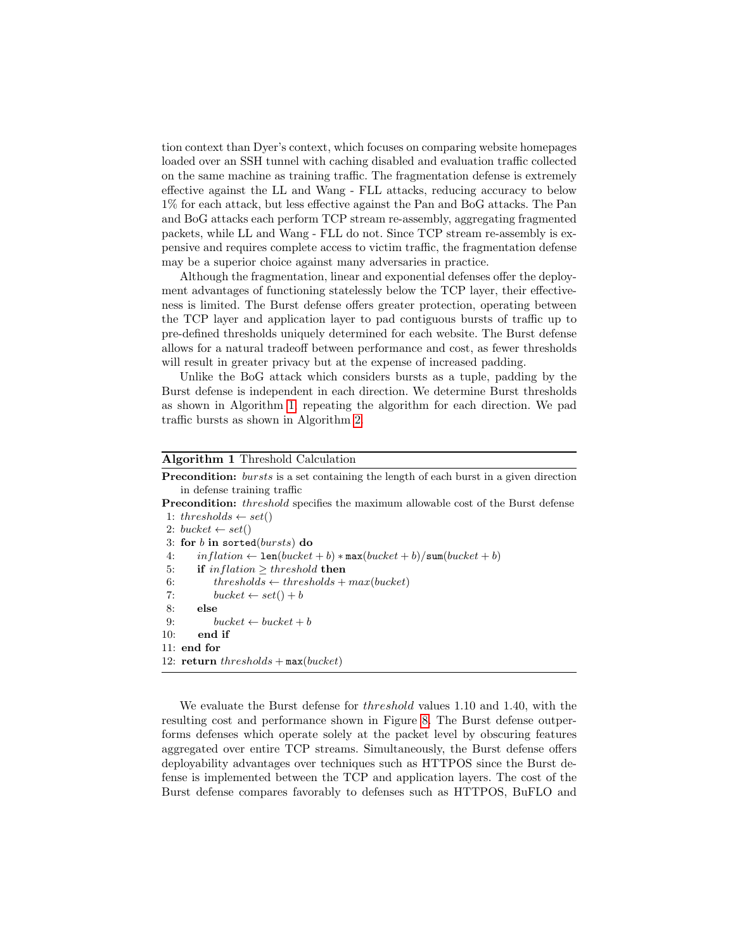tion context than Dyer's context, which focuses on comparing website homepages loaded over an SSH tunnel with caching disabled and evaluation traffic collected on the same machine as training traffic. The fragmentation defense is extremely effective against the LL and Wang - FLL attacks, reducing accuracy to below 1% for each attack, but less effective against the Pan and BoG attacks. The Pan and BoG attacks each perform TCP stream re-assembly, aggregating fragmented packets, while LL and Wang - FLL do not. Since TCP stream re-assembly is expensive and requires complete access to victim traffic, the fragmentation defense may be a superior choice against many adversaries in practice.

Although the fragmentation, linear and exponential defenses offer the deployment advantages of functioning statelessly below the TCP layer, their effectiveness is limited. The Burst defense offers greater protection, operating between the TCP layer and application layer to pad contiguous bursts of traffic up to pre-defined thresholds uniquely determined for each website. The Burst defense allows for a natural tradeoff between performance and cost, as fewer thresholds will result in greater privacy but at the expense of increased padding.

Unlike the BoG attack which considers bursts as a tuple, padding by the Burst defense is independent in each direction. We determine Burst thresholds as shown in Algorithm [1,](#page-0-0) repeating the algorithm for each direction. We pad traffic bursts as shown in Algorithm [2.](#page-0-0)

#### Algorithm 1 Threshold Calculation

**Precondition:** bursts is a set containing the length of each burst in a given direction in defense training traffic

Precondition: *threshold* specifies the maximum allowable cost of the Burst defense 1: thresholds  $\leftarrow set()$ 

```
2: bucket \leftarrow set()3: for b in sorted(bursts) do
4: inflation \leftarrow \text{len}(bucket + b) * \max(buckets + b)/\text{sum}(bucket + b)5: if inflation \geq threshold then
6: thresholds \leftarrow thresholds + max(bucket)
7: bucket \leftarrow set() + b8: else
9: bucket \leftarrow bucket + b10: end if
11: end for
12: return thresholds + max(bucket)
```
We evaluate the Burst defense for threshold values 1.10 and 1.40, with the resulting cost and performance shown in Figure [8.](#page-21-3) The Burst defense outperforms defenses which operate solely at the packet level by obscuring features aggregated over entire TCP streams. Simultaneously, the Burst defense offers deployability advantages over techniques such as HTTPOS since the Burst defense is implemented between the TCP and application layers. The cost of the Burst defense compares favorably to defenses such as HTTPOS, BuFLO and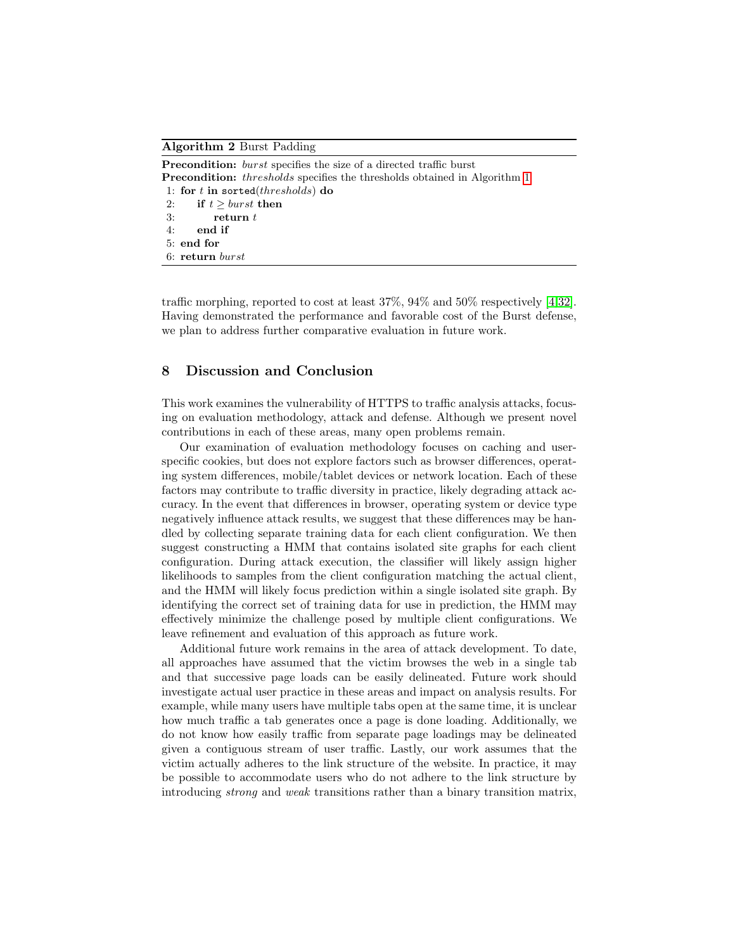Algorithm 2 Burst Padding

Precondition: burst specifies the size of a directed traffic burst Precondition: *thresholds* specifies the thresholds obtained in Algorithm [1](#page-0-0) 1: for  $t$  in sorted(thresholds) do 2: if  $t \geq burst$  then  $3:$  return  $t$ 4: end if 5: end for 6: return burst

traffic morphing, reported to cost at least 37%, 94% and 50% respectively [\[4,](#page-24-3)[32\]](#page-25-19). Having demonstrated the performance and favorable cost of the Burst defense, we plan to address further comparative evaluation in future work.

## <span id="page-23-0"></span>8 Discussion and Conclusion

This work examines the vulnerability of HTTPS to traffic analysis attacks, focusing on evaluation methodology, attack and defense. Although we present novel contributions in each of these areas, many open problems remain.

Our examination of evaluation methodology focuses on caching and userspecific cookies, but does not explore factors such as browser differences, operating system differences, mobile/tablet devices or network location. Each of these factors may contribute to traffic diversity in practice, likely degrading attack accuracy. In the event that differences in browser, operating system or device type negatively influence attack results, we suggest that these differences may be handled by collecting separate training data for each client configuration. We then suggest constructing a HMM that contains isolated site graphs for each client configuration. During attack execution, the classifier will likely assign higher likelihoods to samples from the client configuration matching the actual client, and the HMM will likely focus prediction within a single isolated site graph. By identifying the correct set of training data for use in prediction, the HMM may effectively minimize the challenge posed by multiple client configurations. We leave refinement and evaluation of this approach as future work.

Additional future work remains in the area of attack development. To date, all approaches have assumed that the victim browses the web in a single tab and that successive page loads can be easily delineated. Future work should investigate actual user practice in these areas and impact on analysis results. For example, while many users have multiple tabs open at the same time, it is unclear how much traffic a tab generates once a page is done loading. Additionally, we do not know how easily traffic from separate page loadings may be delineated given a contiguous stream of user traffic. Lastly, our work assumes that the victim actually adheres to the link structure of the website. In practice, it may be possible to accommodate users who do not adhere to the link structure by introducing strong and weak transitions rather than a binary transition matrix,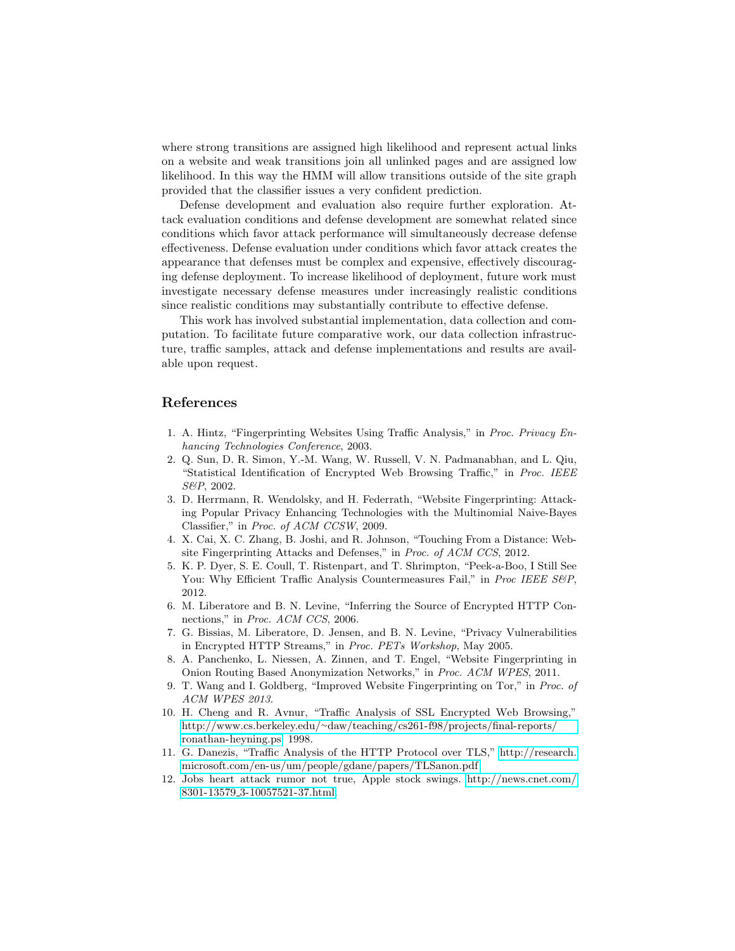where strong transitions are assigned high likelihood and represent actual links on a website and weak transitions join all unlinked pages and are assigned low likelihood. In this way the HMM will allow transitions outside of the site graph provided that the classifier issues a very confident prediction.

Defense development and evaluation also require further exploration. Attack evaluation conditions and defense development are somewhat related since conditions which favor attack performance will simultaneously decrease defense effectiveness. Defense evaluation under conditions which favor attack creates the appearance that defenses must be complex and expensive, effectively discouraging defense deployment. To increase likelihood of deployment, future work must investigate necessary defense measures under increasingly realistic conditions since realistic conditions may substantially contribute to effective defense.

This work has involved substantial implementation, data collection and computation. To facilitate future comparative work, our data collection infrastructure, traffic samples, attack and defense implementations and results are available upon request.

## References

- <span id="page-24-0"></span>1. A. Hintz, "Fingerprinting Websites Using Traffic Analysis," in Proc. Privacy Enhancing Technologies Conference, 2003.
- <span id="page-24-1"></span>2. Q. Sun, D. R. Simon, Y.-M. Wang, W. Russell, V. N. Padmanabhan, and L. Qiu, "Statistical Identification of Encrypted Web Browsing Traffic," in Proc. IEEE S&P, 2002.
- <span id="page-24-2"></span>3. D. Herrmann, R. Wendolsky, and H. Federrath, "Website Fingerprinting: Attacking Popular Privacy Enhancing Technologies with the Multinomial Naive-Bayes Classifier," in Proc. of ACM CCSW, 2009.
- <span id="page-24-3"></span>4. X. Cai, X. C. Zhang, B. Joshi, and R. Johnson, "Touching From a Distance: Website Fingerprinting Attacks and Defenses," in Proc. of ACM CCS, 2012.
- <span id="page-24-4"></span>5. K. P. Dyer, S. E. Coull, T. Ristenpart, and T. Shrimpton, "Peek-a-Boo, I Still See You: Why Efficient Traffic Analysis Countermeasures Fail," in Proc IEEE S&P, 2012.
- <span id="page-24-5"></span>6. M. Liberatore and B. N. Levine, "Inferring the Source of Encrypted HTTP Connections," in Proc. ACM CCS, 2006.
- <span id="page-24-6"></span>7. G. Bissias, M. Liberatore, D. Jensen, and B. N. Levine, "Privacy Vulnerabilities in Encrypted HTTP Streams," in Proc. PETs Workshop, May 2005.
- <span id="page-24-7"></span>8. A. Panchenko, L. Niessen, A. Zinnen, and T. Engel, "Website Fingerprinting in Onion Routing Based Anonymization Networks," in Proc. ACM WPES, 2011.
- <span id="page-24-8"></span>9. T. Wang and I. Goldberg, "Improved Website Fingerprinting on Tor," in Proc. of ACM WPES 2013.
- <span id="page-24-9"></span>10. H. Cheng and R. Avnur, "Traffic Analysis of SSL Encrypted Web Browsing," http://www.cs.berkeley.edu/∼[daw/teaching/cs261-f98/projects/final-reports/](http://www.cs.berkeley.edu/~daw/teaching/cs261-f98/projects/final-reports/ronathan-heyning.ps) [ronathan-heyning.ps,](http://www.cs.berkeley.edu/~daw/teaching/cs261-f98/projects/final-reports/ronathan-heyning.ps) 1998.
- <span id="page-24-10"></span>11. G. Danezis, "Traffic Analysis of the HTTP Protocol over TLS," [http://research.](http://research.microsoft.com/en-us/um/people/gdane/papers/TLSanon.pdf) [microsoft.com/en-us/um/people/gdane/papers/TLSanon.pdf.](http://research.microsoft.com/en-us/um/people/gdane/papers/TLSanon.pdf)
- <span id="page-24-11"></span>12. Jobs heart attack rumor not true, Apple stock swings. [http://news.cnet.com/](http://news.cnet.com/8301-13579_3-10057521-37.html) 8301-13579 [3-10057521-37.html.](http://news.cnet.com/8301-13579_3-10057521-37.html)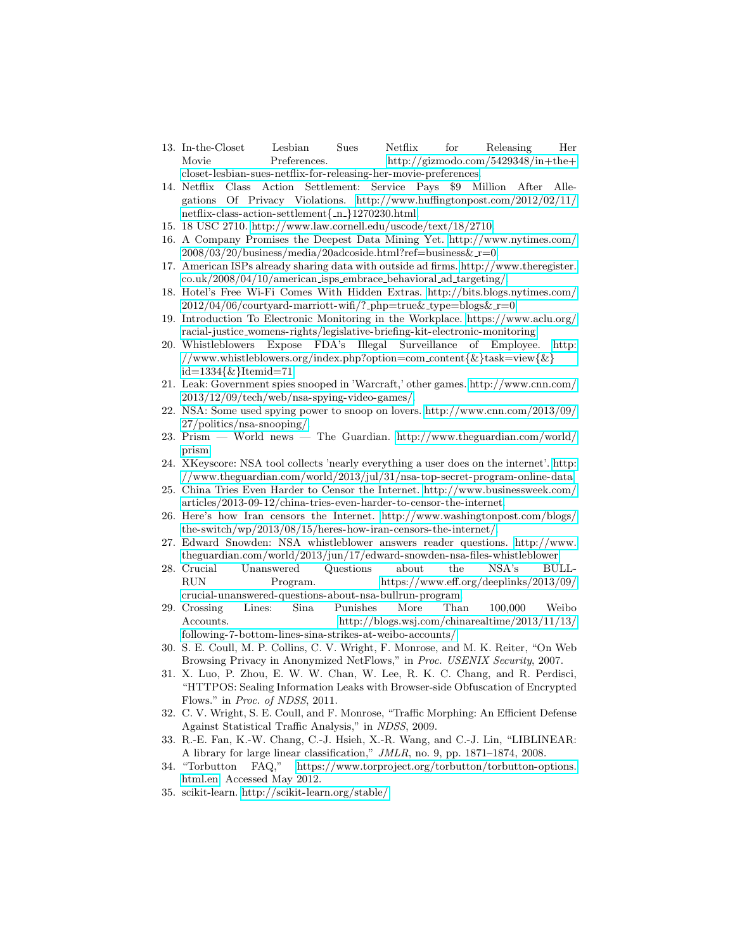- <span id="page-25-0"></span>13. In-the-Closet Lesbian Sues Netflix for Releasing Her Movie Preferences. [http://gizmodo.com/5429348/in+the+](http://gizmodo.com/5429348/in+the+closet-lesbian-sues-netflix-for-releasing-her-movie-preferences) [closet-lesbian-sues-netflix-for-releasing-her-movie-preferences.](http://gizmodo.com/5429348/in+the+closet-lesbian-sues-netflix-for-releasing-her-movie-preferences)
- <span id="page-25-1"></span>14. Netflix Class Action Settlement: Service Pays \$9 Million After Allegations Of Privacy Violations. [http://www.huffingtonpost.com/2012/02/11/](http://www.huffingtonpost.com/2012/02/11/netflix-class-action-settlement{_n_}1270230.html) [netflix-class-action-settlement](http://www.huffingtonpost.com/2012/02/11/netflix-class-action-settlement{_n_}1270230.html) ${n$ -1270230.html.
- <span id="page-25-2"></span>15. 18 USC 2710. [http://www.law.cornell.edu/uscode/text/18/2710.](http://www.law.cornell.edu/uscode/text/18/2710)
- <span id="page-25-3"></span>16. A Company Promises the Deepest Data Mining Yet. [http://www.nytimes.com/](http://www.nytimes.com/2008/03/20/business/media/20adcoside.html? ref=business&_r=0)  $2008/03/20$ /business/media/20adcoside.html?ref=business&  $r=0$ .
- <span id="page-25-4"></span>17. American ISPs already sharing data with outside ad firms. [http://www.theregister.](http://www.theregister.co.uk/2008/04/10/american_isps_embrace_behavioral_ad_targeting/) [co.uk/2008/04/10/american](http://www.theregister.co.uk/2008/04/10/american_isps_embrace_behavioral_ad_targeting/) isps embrace behavioral ad targeting/.
- <span id="page-25-5"></span>18. Hotel's Free Wi-Fi Comes With Hidden Extras. [http://bits.blogs.nytimes.com/](http://bits.blogs.nytimes.com/2012/04/06/courtyard-marriott-wifi/?_php=true&_type=blogs&_r=0)  $2012/04/06$ /courtyard-marriott-wifi/?\_php=true&\_type=blogs&\_r=0.
- <span id="page-25-6"></span>19. Introduction To Electronic Monitoring in the Workplace. [https://www.aclu.org/](https://www.aclu.org/racial-justice_womens-rights/legislative-briefing-kit-electronic-monitoring) racial-justice [womens-rights/legislative-briefing-kit-electronic-monitoring.](https://www.aclu.org/racial-justice_womens-rights/legislative-briefing-kit-electronic-monitoring)
- <span id="page-25-7"></span>20. Whistleblowers Expose FDA's Illegal Surveillance of Employee. [http:](http://www.whistleblowers.org/index.php?option=com_content{&}task=view{&}id=1334{&}Itemid=71) [//www.whistleblowers.org/index.php?option=com](http://www.whistleblowers.org/index.php?option=com_content{&}task=view{&}id=1334{&}Itemid=71)\_content{  $\&$  } task=view{  $\&$ }  $id = 1334\{\&\}$ [Itemid=71.](http://www.whistleblowers.org/index.php?option=com_content{&}task=view{&}id=1334{&}Itemid=71)
- <span id="page-25-8"></span>21. Leak: Government spies snooped in 'Warcraft,' other games. [http://www.cnn.com/](http://www.cnn.com/2013/12/09/tech/web/nsa-spying-video-games/) [2013/12/09/tech/web/nsa-spying-video-games/.](http://www.cnn.com/2013/12/09/tech/web/nsa-spying-video-games/)
- <span id="page-25-9"></span>22. NSA: Some used spying power to snoop on lovers. [http://www.cnn.com/2013/09/](http://www.cnn.com/2013/09/27/politics/nsa-snooping/) [27/politics/nsa-snooping/.](http://www.cnn.com/2013/09/27/politics/nsa-snooping/)
- <span id="page-25-10"></span>23. Prism — World news — The Guardian. [http://www.theguardian.com/world/](http://www.theguardian.com/world/prism) [prism.](http://www.theguardian.com/world/prism)
- <span id="page-25-11"></span>24. XKeyscore: NSA tool collects 'nearly everything a user does on the internet'. [http:](http://www.theguardian.com/world/2013/jul/31/nsa-top-secret-program-online-data) [//www.theguardian.com/world/2013/jul/31/nsa-top-secret-program-online-data.](http://www.theguardian.com/world/2013/jul/31/nsa-top-secret-program-online-data)
- <span id="page-25-12"></span>25. China Tries Even Harder to Censor the Internet. [http://www.businessweek.com/](http://www.businessweek.com/articles/2013-09-12/china-tries-even-harder-to-censor-the-internet) [articles/2013-09-12/china-tries-even-harder-to-censor-the-internet.](http://www.businessweek.com/articles/2013-09-12/china-tries-even-harder-to-censor-the-internet)
- <span id="page-25-13"></span>26. Here's how Iran censors the Internet. [http://www.washingtonpost.com/blogs/](http://www.washingtonpost.com/blogs/the-switch/wp/2013/08/15/heres-how-iran-censors-the-internet/) [the-switch/wp/2013/08/15/heres-how-iran-censors-the-internet/.](http://www.washingtonpost.com/blogs/the-switch/wp/2013/08/15/heres-how-iran-censors-the-internet/)
- <span id="page-25-14"></span>27. Edward Snowden: NSA whistleblower answers reader questions. [http://www.](http://www.theguardian.com/world/2013/jun/17/edward-snowden-nsa-files-whistleblower) [theguardian.com/world/2013/jun/17/edward-snowden-nsa-files-whistleblower.](http://www.theguardian.com/world/2013/jun/17/edward-snowden-nsa-files-whistleblower)
- <span id="page-25-15"></span>28. Crucial Unanswered Questions about the NSA's BULL-RUN Program. [https://www.eff.org/deeplinks/2013/09/](https://www.eff.org/deeplinks/2013/09/crucial-unanswered-questions-about-nsa-bullrun-program) [crucial-unanswered-questions-about-nsa-bullrun-program.](https://www.eff.org/deeplinks/2013/09/crucial-unanswered-questions-about-nsa-bullrun-program)
- <span id="page-25-16"></span>29. Crossing Lines: Sina Punishes More Than 100,000 Weibo Accounts. [http://blogs.wsj.com/chinarealtime/2013/11/13/](http://blogs.wsj.com/chinarealtime/2013/11/13/following-7-bottom-lines-sina-strikes-at-weibo-accounts/) [following-7-bottom-lines-sina-strikes-at-weibo-accounts/.](http://blogs.wsj.com/chinarealtime/2013/11/13/following-7-bottom-lines-sina-strikes-at-weibo-accounts/)
- <span id="page-25-17"></span>30. S. E. Coull, M. P. Collins, C. V. Wright, F. Monrose, and M. K. Reiter, "On Web Browsing Privacy in Anonymized NetFlows," in Proc. USENIX Security, 2007.
- <span id="page-25-18"></span>31. X. Luo, P. Zhou, E. W. W. Chan, W. Lee, R. K. C. Chang, and R. Perdisci, "HTTPOS: Sealing Information Leaks with Browser-side Obfuscation of Encrypted Flows." in Proc. of NDSS, 2011.
- <span id="page-25-19"></span>32. C. V. Wright, S. E. Coull, and F. Monrose, "Traffic Morphing: An Efficient Defense Against Statistical Traffic Analysis," in NDSS, 2009.
- <span id="page-25-20"></span>33. R.-E. Fan, K.-W. Chang, C.-J. Hsieh, X.-R. Wang, and C.-J. Lin, "LIBLINEAR: A library for large linear classification," JMLR, no. 9, pp. 1871–1874, 2008.
- <span id="page-25-21"></span>34. "Torbutton FAQ," [https://www.torproject.org/torbutton/torbutton-options.](https://www.torproject.org/torbutton/torbutton-options.html.en) [html.en,](https://www.torproject.org/torbutton/torbutton-options.html.en) Accessed May 2012.
- <span id="page-25-22"></span>35. scikit-learn. [http://scikit-learn.org/stable/.](http://scikit-learn.org/stable/)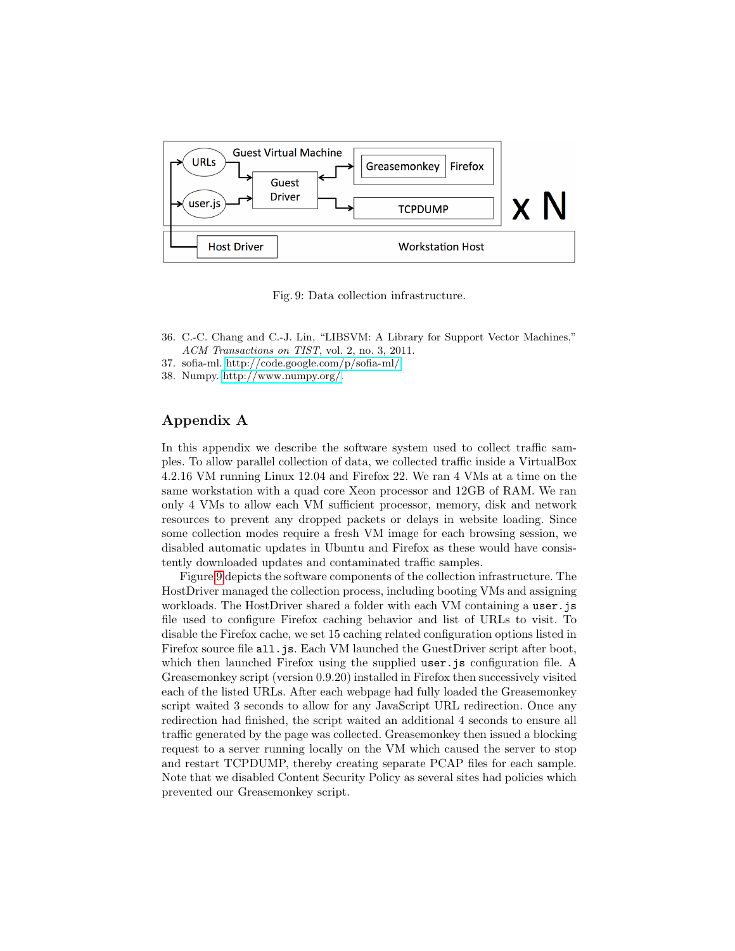<span id="page-26-3"></span>

Fig. 9: Data collection infrastructure.

- <span id="page-26-0"></span>36. C.-C. Chang and C.-J. Lin, "LIBSVM: A Library for Support Vector Machines," ACM Transactions on TIST, vol. 2, no. 3, 2011.
- <span id="page-26-1"></span>37. sofia-ml. [http://code.google.com/p/sofia-ml/.](http://code.google.com/p/sofia-ml/)
- <span id="page-26-2"></span>38. Numpy. [http://www.numpy.org/.](http://www.numpy.org/)

# Appendix A

In this appendix we describe the software system used to collect traffic samples. To allow parallel collection of data, we collected traffic inside a VirtualBox 4.2.16 VM running Linux 12.04 and Firefox 22. We ran 4 VMs at a time on the same workstation with a quad core Xeon processor and 12GB of RAM. We ran only 4 VMs to allow each VM sufficient processor, memory, disk and network resources to prevent any dropped packets or delays in website loading. Since some collection modes require a fresh VM image for each browsing session, we disabled automatic updates in Ubuntu and Firefox as these would have consistently downloaded updates and contaminated traffic samples.

Figure [9](#page-26-3) depicts the software components of the collection infrastructure. The HostDriver managed the collection process, including booting VMs and assigning workloads. The HostDriver shared a folder with each VM containing a user. js file used to configure Firefox caching behavior and list of URLs to visit. To disable the Firefox cache, we set 15 caching related configuration options listed in Firefox source file all. js. Each VM launched the GuestDriver script after boot, which then launched Firefox using the supplied user is configuration file. A Greasemonkey script (version 0.9.20) installed in Firefox then successively visited each of the listed URLs. After each webpage had fully loaded the Greasemonkey script waited 3 seconds to allow for any JavaScript URL redirection. Once any redirection had finished, the script waited an additional 4 seconds to ensure all traffic generated by the page was collected. Greasemonkey then issued a blocking request to a server running locally on the VM which caused the server to stop and restart TCPDUMP, thereby creating separate PCAP files for each sample. Note that we disabled Content Security Policy as several sites had policies which prevented our Greasemonkey script.